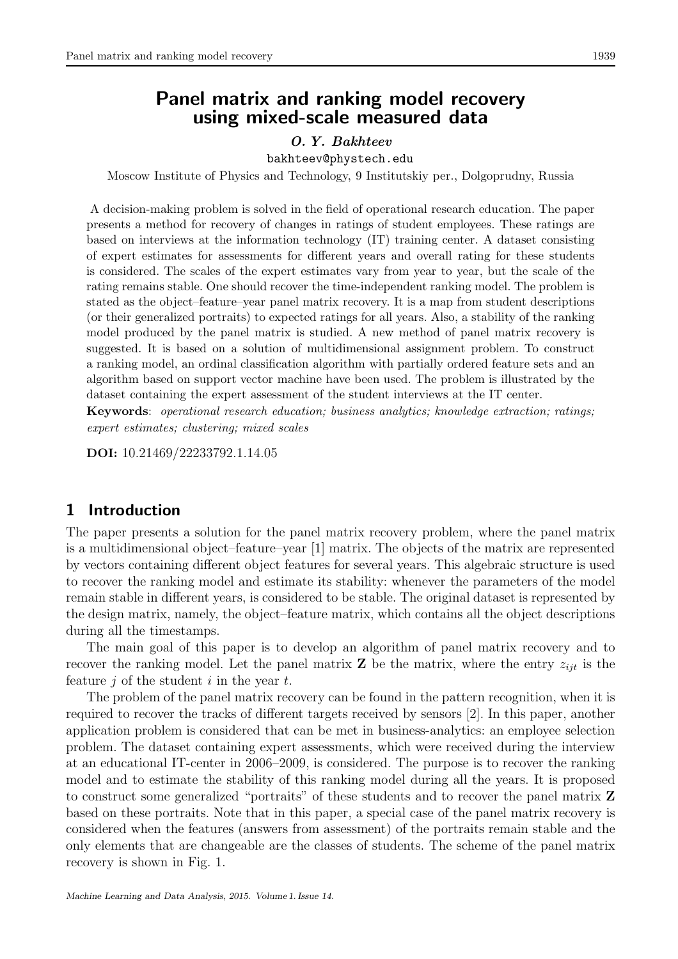# Panel matrix and ranking model recovery using mixed-scale measured data

## O. Y. Bakhteev

bakhteev@phystech.edu

Moscow Institute of Physics and Technology, 9 Institutskiy per., Dolgoprudny, Russia

A decision-making problem is solved in the field of operational research education. The paper presents a method for recovery of changes in ratings of student employees. These ratings are based on interviews at the information technology (IT) training center. A dataset consisting of expert estimates for assessments for different years and overall rating for these students is considered. The scales of the expert estimates vary from year to year, but the scale of the rating remains stable. One should recover the time-independent ranking model. The problem is stated as the object–feature–year panel matrix recovery. It is a map from student descriptions (or their generalized portraits) to expected ratings for all years. Also, a stability of the ranking model produced by the panel matrix is studied. A new method of panel matrix recovery is suggested. It is based on a solution of multidimensional assignment problem. To construct a ranking model, an ordinal classification algorithm with partially ordered feature sets and an algorithm based on support vector machine have been used. The problem is illustrated by the dataset containing the expert assessment of the student interviews at the IT center.

Keywords: operational research education; business analytics; knowledge extraction; ratings; expert estimates; clustering; mixed scales

DOI: 10.21469/22233792.1.14.05

# 1 Introduction

The paper presents a solution for the panel matrix recovery problem, where the panel matrix is a multidimensional object–feature–year [1] matrix. The objects of the matrix are represented by vectors containing different object features for several years. This algebraic structure is used to recover the ranking model and estimate its stability: whenever the parameters of the model remain stable in different years, is considered to be stable. The original dataset is represented by the design matrix, namely, the object–feature matrix, which contains all the object descriptions during all the timestamps.

The main goal of this paper is to develop an algorithm of panel matrix recovery and to recover the ranking model. Let the panel matrix **Z** be the matrix, where the entry  $z_{ijt}$  is the feature  $i$  of the student  $i$  in the year  $t$ .

The problem of the panel matrix recovery can be found in the pattern recognition, when it is required to recover the tracks of different targets received by sensors [2]. In this paper, another application problem is considered that can be met in business-analytics: an employee selection problem. The dataset containing expert assessments, which were received during the interview at an educational IT-center in 2006–2009, is considered. The purpose is to recover the ranking model and to estimate the stability of this ranking model during all the years. It is proposed to construct some generalized "portraits" of these students and to recover the panel matrix Z based on these portraits. Note that in this paper, a special case of the panel matrix recovery is considered when the features (answers from assessment) of the portraits remain stable and the only elements that are changeable are the classes of students. The scheme of the panel matrix recovery is shown in Fig. 1.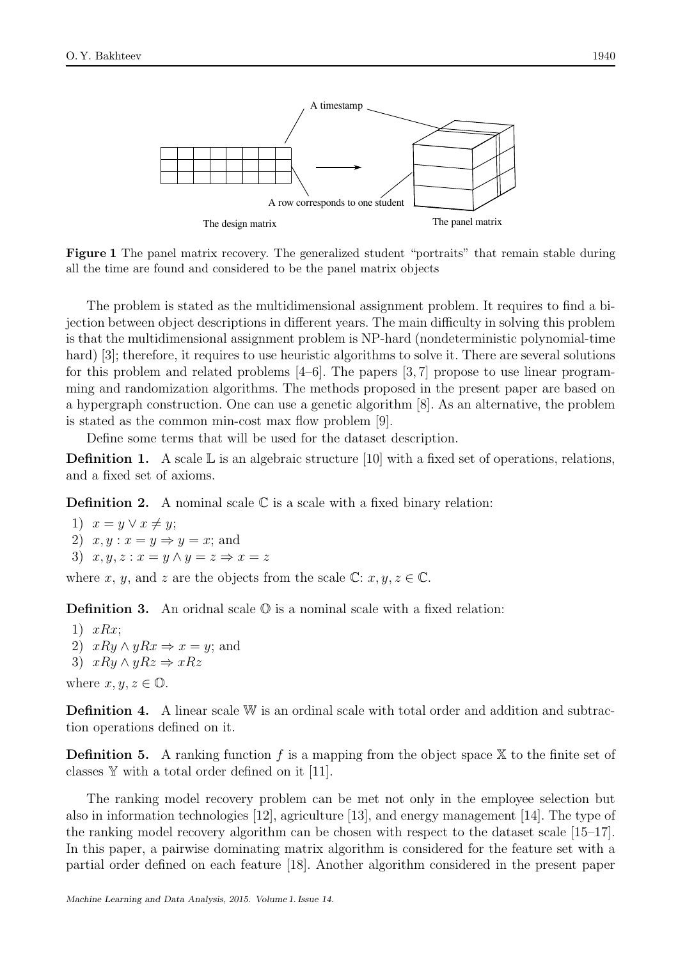

Figure 1 The panel matrix recovery. The generalized student "portraits" that remain stable during all the time are found and considered to be the panel matrix objects

The problem is stated as the multidimensional assignment problem. It requires to find a bijection between object descriptions in different years. The main difficulty in solving this problem is that the multidimensional assignment problem is NP-hard (nondeterministic polynomial-time hard) [3]; therefore, it requires to use heuristic algorithms to solve it. There are several solutions for this problem and related problems [4–6]. The papers [3, 7] propose to use linear programming and randomization algorithms. The methods proposed in the present paper are based on a hypergraph construction. One can use a genetic algorithm [8]. As an alternative, the problem is stated as the common min-cost max flow problem [9].

Define some terms that will be used for the dataset description.

**Definition 1.** A scale  $\mathbb{L}$  is an algebraic structure [10] with a fixed set of operations, relations, and a fixed set of axioms.

**Definition 2.** A nominal scale  $\mathbb C$  is a scale with a fixed binary relation:

1)  $x = y \lor x \neq y;$ 2)  $x, y: x = y \Rightarrow y = x$ ; and 3)  $x, y, z: x = y \wedge y = z \Rightarrow x = z$ 

where x, y, and z are the objects from the scale  $\mathbb{C}: x, y, z \in \mathbb{C}$ .

**Definition 3.** An oridnal scale  $\mathbb{O}$  is a nominal scale with a fixed relation:

1)  $xRx$ ; 2)  $xRy \wedge yRx \Rightarrow x = y$ ; and 3)  $xRy \wedge yRz \Rightarrow xRz$ where  $x, y, z \in \mathbb{O}$ .

Definition 4. A linear scale W is an ordinal scale with total order and addition and subtraction operations defined on it.

**Definition 5.** A ranking function f is a mapping from the object space  $X$  to the finite set of classes Y with a total order defined on it [11].

The ranking model recovery problem can be met not only in the employee selection but also in information technologies [12], agriculture [13], and energy management [14]. The type of the ranking model recovery algorithm can be chosen with respect to the dataset scale [15–17]. In this paper, a pairwise dominating matrix algorithm is considered for the feature set with a partial order defined on each feature [18]. Another algorithm considered in the present paper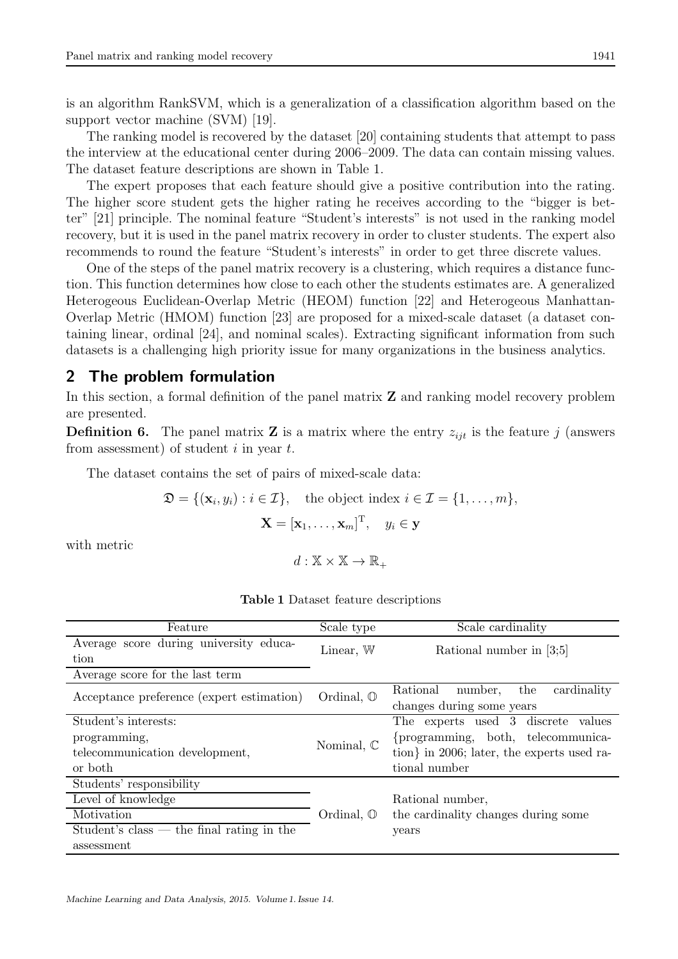is an algorithm RankSVM, which is a generalization of a classification algorithm based on the support vector machine (SVM) [19].

The ranking model is recovered by the dataset [20] containing students that attempt to pass the interview at the educational center during 2006–2009. The data can contain missing values. The dataset feature descriptions are shown in Table 1.

The expert proposes that each feature should give a positive contribution into the rating. The higher score student gets the higher rating he receives according to the "bigger is better" [21] principle. The nominal feature "Student's interests" is not used in the ranking model recovery, but it is used in the panel matrix recovery in order to cluster students. The expert also recommends to round the feature "Student's interests" in order to get three discrete values.

One of the steps of the panel matrix recovery is a clustering, which requires a distance function. This function determines how close to each other the students estimates are. A generalized Heterogeous Euclidean-Overlap Metric (HEOM) function [22] and Heterogeous Manhattan-Overlap Metric (HMOM) function [23] are proposed for a mixed-scale dataset (a dataset containing linear, ordinal [24], and nominal scales). Extracting significant information from such datasets is a challenging high priority issue for many organizations in the business analytics.

# 2 The problem formulation

In this section, a formal definition of the panel matrix Z and ranking model recovery problem are presented.

**Definition 6.** The panel matrix **Z** is a matrix where the entry  $z_{ijt}$  is the feature j (answers from assessment) of student  $i$  in year  $t$ .

The dataset contains the set of pairs of mixed-scale data:

$$
\mathfrak{D} = \{ (\mathbf{x}_i, y_i) : i \in \mathcal{I} \}, \text{ the object index } i \in \mathcal{I} = \{1, ..., m\},
$$

$$
\mathbf{X} = [\mathbf{x}_1, ..., \mathbf{x}_m]^{\mathrm{T}}, \quad y_i \in \mathbf{y}
$$

with metric

 $d: \mathbb{X} \times \mathbb{X} \rightarrow \mathbb{R}_+$ 

| Feature                                     | Scale type            | Scale cardinality                                                               |  |  |
|---------------------------------------------|-----------------------|---------------------------------------------------------------------------------|--|--|
| Average score during university educa-      | Linear, $\mathbb{W}$  | Rational number in [3;5]                                                        |  |  |
| tion                                        |                       |                                                                                 |  |  |
| Average score for the last term             |                       |                                                                                 |  |  |
| Acceptance preference (expert estimation)   | Ordinal, $\mathbb{O}$ | cardinality<br>Rational<br>number,<br>the                                       |  |  |
|                                             |                       | changes during some years                                                       |  |  |
| Student's interests:                        |                       | The experts used 3 discrete values                                              |  |  |
| programming,                                | Nominal, $\mathbb C$  | {programming, both, telecommunica-<br>tion in 2006; later, the experts used ra- |  |  |
| telecommunication development,              |                       |                                                                                 |  |  |
| or both                                     |                       | tional number                                                                   |  |  |
| Students' responsibility                    |                       |                                                                                 |  |  |
| Level of knowledge                          |                       | Rational number,                                                                |  |  |
| Motivation                                  | Ordinal, $\mathbb{O}$ | the cardinality changes during some                                             |  |  |
| Student's class $-$ the final rating in the |                       | years                                                                           |  |  |
| assessment                                  |                       |                                                                                 |  |  |

Table 1 Dataset feature descriptions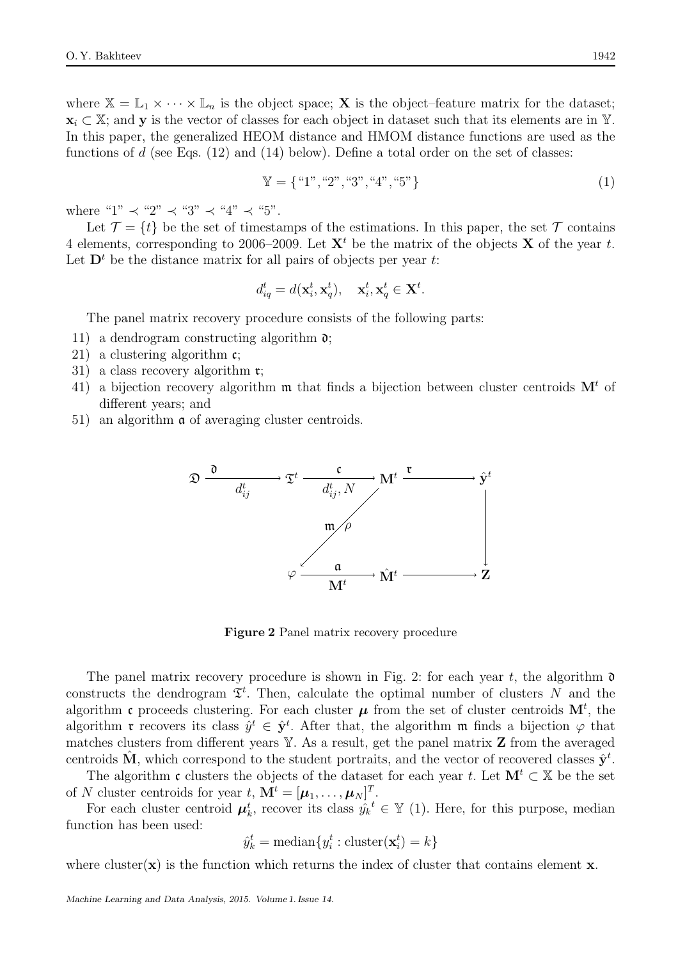where  $\mathbb{X} = \mathbb{L}_1 \times \cdots \times \mathbb{L}_n$  is the object space; **X** is the object–feature matrix for the dataset;  $\mathbf{x}_i \subset \mathbb{X}$ ; and y is the vector of classes for each object in dataset such that its elements are in Y. In this paper, the generalized HEOM distance and HMOM distance functions are used as the functions of d (see Eqs.  $(12)$  and  $(14)$  below). Define a total order on the set of classes:

$$
\mathbb{Y} = \{ \text{``1", ``2", ``3", ``4", ``5"\} \tag{1}
$$

where "1"  $\prec$  "2"  $\prec$  "3"  $\prec$  "4"  $\prec$  "5".

Let  $\mathcal{T} = \{t\}$  be the set of timestamps of the estimations. In this paper, the set  $\mathcal{T}$  contains 4 elements, corresponding to 2006–2009. Let  $X<sup>t</sup>$  be the matrix of the objects X of the year t. Let  $\mathbf{D}^t$  be the distance matrix for all pairs of objects per year t:

$$
d_{iq}^t = d(\mathbf{x}_i^t, \mathbf{x}_q^t), \quad \mathbf{x}_i^t, \mathbf{x}_q^t \in \mathbf{X}^t.
$$

The panel matrix recovery procedure consists of the following parts:

- 11) a dendrogram constructing algorithm  $\mathfrak{d}$ ;
- 21) a clustering algorithm  $\mathfrak{c}$ ;
- 31) a class recovery algorithm r;
- 41) a bijection recovery algorithm  $\mathfrak m$  that finds a bijection between cluster centroids  $\mathbf M^t$  of different years; and
- 51) an algorithm a of averaging cluster centroids.



Figure 2 Panel matrix recovery procedure

The panel matrix recovery procedure is shown in Fig. 2: for each year t, the algorithm  $\mathfrak d$ constructs the dendrogram  $\mathfrak{T}^t$ . Then, calculate the optimal number of clusters N and the algorithm c proceeds clustering. For each cluster  $\mu$  from the set of cluster centroids  $\mathbf{M}^t$ , the algorithm **r** recovers its class  $\hat{y}^t \in \hat{\mathbf{y}}^t$ . After that, the algorithm **m** finds a bijection  $\varphi$  that matches clusters from different years  $Y$ . As a result, get the panel matrix  $Z$  from the averaged centroids  $\hat{M}$ , which correspond to the student portraits, and the vector of recovered classes  $\hat{y}^t$ .

The algorithm c clusters the objects of the dataset for each year t. Let  $M^t \subset X$  be the set of N cluster centroids for year  $t, \mathbf{M}^t = [\boldsymbol{\mu}_1, \dots, \boldsymbol{\mu}_N]^T$ .

For each cluster centroid  $\mu_k^t$ , recover its class  $\hat{y_k}^t \in \mathbb{Y}$  (1). Here, for this purpose, median function has been used:

$$
\hat{y}_k^t = \text{median}\{y_i^t : \text{cluster}(\mathbf{x}_i^t) = k\}
$$

where cluster $(x)$  is the function which returns the index of cluster that contains element x.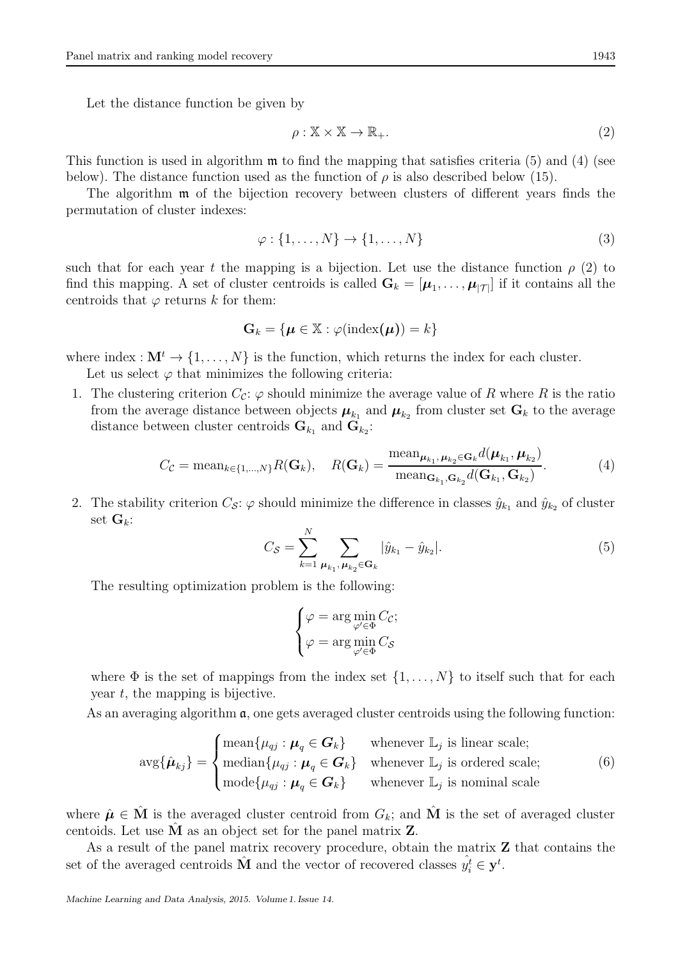Let the distance function be given by

$$
\rho: \mathbb{X} \times \mathbb{X} \to \mathbb{R}_+.
$$
 (2)

This function is used in algorithm  $\mathfrak{m}$  to find the mapping that satisfies criteria (5) and (4) (see below). The distance function used as the function of  $\rho$  is also described below (15).

The algorithm m of the bijection recovery between clusters of different years finds the permutation of cluster indexes:

$$
\varphi: \{1, \ldots, N\} \to \{1, \ldots, N\} \tag{3}
$$

such that for each year t the mapping is a bijection. Let use the distance function  $\rho$  (2) to find this mapping. A set of cluster centroids is called  $\mathbf{G}_k = [\boldsymbol{\mu}_1, \dots, \boldsymbol{\mu}_{|\mathcal{T}|}]$  if it contains all the centroids that  $\varphi$  returns k for them:

$$
\mathbf{G}_k = \{ \boldsymbol{\mu} \in \mathbb{X} : \varphi(\text{index}(\boldsymbol{\mu})) = k \}
$$

where index :  $\mathbf{M}^t \to \{1, \ldots, N\}$  is the function, which returns the index for each cluster.

Let us select  $\varphi$  that minimizes the following criteria:

1. The clustering criterion  $C_c$ :  $\varphi$  should minimize the average value of R where R is the ratio from the average distance between objects  $\boldsymbol{\mu}_{k_1}$  and  $\boldsymbol{\mu}_{k_2}$  from cluster set  $\mathbf{G}_k$  to the average distance between cluster centroids  $\mathbf{G}_{k_1}$  and  $\mathbf{G}_{k_2}$ :

$$
C_{\mathcal{C}} = \text{mean}_{k \in \{1, \dots, N\}} R(\mathbf{G}_k), \quad R(\mathbf{G}_k) = \frac{\text{mean}_{\boldsymbol{\mu}_{k_1}, \boldsymbol{\mu}_{k_2} \in \mathbf{G}_k} d(\boldsymbol{\mu}_{k_1}, \boldsymbol{\mu}_{k_2})}{\text{mean}_{\mathbf{G}_{k_1}, \mathbf{G}_{k_2}} d(\mathbf{G}_{k_1}, \mathbf{G}_{k_2})}.
$$
(4)

2. The stability criterion  $C_{\mathcal{S}}$ :  $\varphi$  should minimize the difference in classes  $\hat{y}_{k_1}$  and  $\hat{y}_{k_2}$  of cluster set  $\mathbf{G}_k$ :

$$
C_{\mathcal{S}} = \sum_{k=1}^{N} \sum_{\mu_{k_1}, \mu_{k_2} \in \mathbf{G}_k} |\hat{y}_{k_1} - \hat{y}_{k_2}|.
$$
 (5)

The resulting optimization problem is the following:

$$
\begin{cases}\n\varphi = \arg \min_{\varphi' \in \Phi} C_{\mathcal{C}}; \\
\varphi = \arg \min_{\varphi' \in \Phi} C_{\mathcal{S}}\n\end{cases}
$$

where  $\Phi$  is the set of mappings from the index set  $\{1, \ldots, N\}$  to itself such that for each year  $t$ , the mapping is bijective.

As an averaging algorithm  $\alpha$ , one gets averaged cluster centroids using the following function:

$$
\arg\{\hat{\boldsymbol{\mu}}_{kj}\} = \begin{cases}\n\text{mean}\{\mu_{qj} : \boldsymbol{\mu}_q \in \boldsymbol{G}_k\} & \text{whenever } \mathbb{L}_j \text{ is linear scale;} \\
\text{median}\{\mu_{qj} : \boldsymbol{\mu}_q \in \boldsymbol{G}_k\} & \text{whenever } \mathbb{L}_j \text{ is ordered scale;} \\
\text{mode}\{\mu_{qj} : \boldsymbol{\mu}_q \in \boldsymbol{G}_k\} & \text{whenever } \mathbb{L}_j \text{ is nominal scale}\n\end{cases}\n\tag{6}
$$

where  $\hat{\mu} \in \mathbf{M}$  is the averaged cluster centroid from  $G_k$ ; and  $\mathbf{M}$  is the set of averaged cluster centoids. Let use  $\tilde{M}$  as an object set for the panel matrix  $Z$ .

As a result of the panel matrix recovery procedure, obtain the matrix Z that contains the set of the averaged centroids  $\hat{M}$  and the vector of recovered classes  $\hat{y}_i^t \in \mathbf{y}^t$ .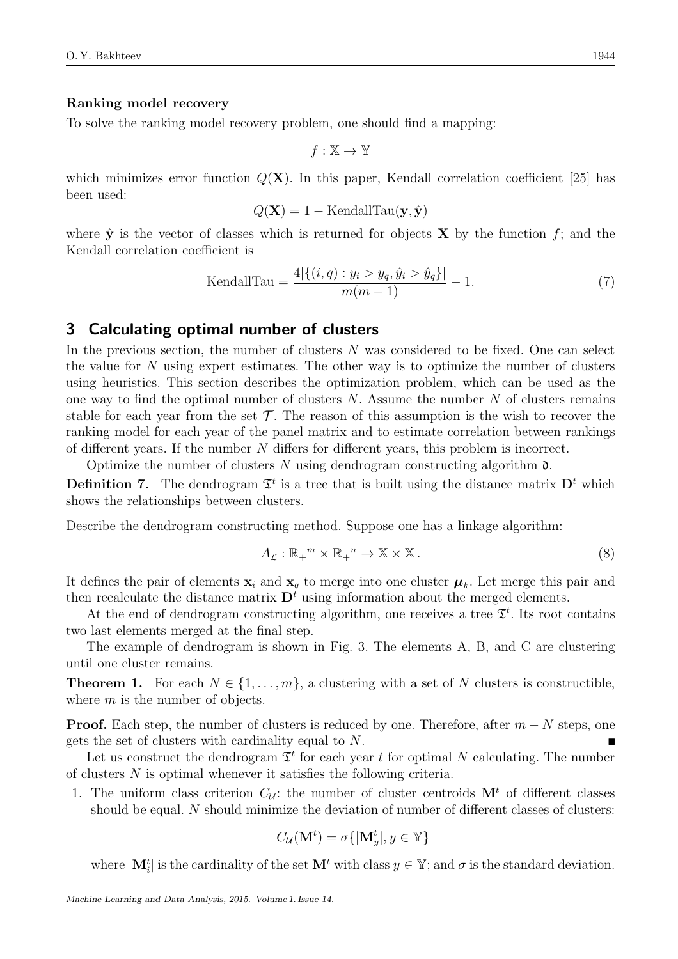### Ranking model recovery

To solve the ranking model recovery problem, one should find a mapping:

$$
f:\mathbb{X}\to\mathbb{Y}
$$

which minimizes error function  $Q(X)$ . In this paper, Kendall correlation coefficient [25] has been used:

$$
Q(\mathbf{X}) = 1 - \text{KendallTau}(\mathbf{y}, \hat{\mathbf{y}})
$$

where  $\hat{y}$  is the vector of classes which is returned for objects **X** by the function f; and the Kendall correlation coefficient is

$$
\text{KendallTau} = \frac{4|\{(i,q) : y_i > y_q, \hat{y}_i > \hat{y}_q\}|}{m(m-1)} - 1. \tag{7}
$$

# 3 Calculating optimal number of clusters

In the previous section, the number of clusters  $N$  was considered to be fixed. One can select the value for  $N$  using expert estimates. The other way is to optimize the number of clusters using heuristics. This section describes the optimization problem, which can be used as the one way to find the optimal number of clusters  $N$ . Assume the number  $N$  of clusters remains stable for each year from the set  $\mathcal T$ . The reason of this assumption is the wish to recover the ranking model for each year of the panel matrix and to estimate correlation between rankings of different years. If the number N differs for different years, this problem is incorrect.

Optimize the number of clusters N using dendrogram constructing algorithm  $\mathfrak{d}$ .

**Definition 7.** The dendrogram  $\mathfrak{T}^t$  is a tree that is built using the distance matrix  $\mathbf{D}^t$  which shows the relationships between clusters.

Describe the dendrogram constructing method. Suppose one has a linkage algorithm:

$$
A_{\mathcal{L}}: \mathbb{R}_{+}^{m} \times \mathbb{R}_{+}^{n} \to \mathbb{X} \times \mathbb{X}.
$$
 (8)

It defines the pair of elements  $x_i$  and  $x_q$  to merge into one cluster  $\mu_k$ . Let merge this pair and then recalculate the distance matrix  $\mathbf{D}^{t}$  using information about the merged elements.

At the end of dendrogram constructing algorithm, one receives a tree  $\mathfrak{T}^t$ . Its root contains two last elements merged at the final step.

The example of dendrogram is shown in Fig. 3. The elements A, B, and C are clustering until one cluster remains.

**Theorem 1.** For each  $N \in \{1, \ldots, m\}$ , a clustering with a set of N clusters is constructible, where  $m$  is the number of objects.

**Proof.** Each step, the number of clusters is reduced by one. Therefore, after  $m - N$  steps, one gets the set of clusters with cardinality equal to N.

Let us construct the dendrogram  $\mathfrak{T}^t$  for each year t for optimal N calculating. The number of clusters N is optimal whenever it satisfies the following criteria.

1. The uniform class criterion  $C_{\mathcal{U}}$ : the number of cluster centroids  $\mathbf{M}^t$  of different classes should be equal. N should minimize the deviation of number of different classes of clusters:

$$
C_{\mathcal{U}}(\mathbf{M}^t) = \sigma\{|\mathbf{M}_y^t|, y \in \mathbb{Y}\}\
$$

where  $|\mathbf{M}_i^t|$  is the cardinality of the set  $\mathbf{M}^t$  with class  $y \in \mathbb{Y}$ ; and  $\sigma$  is the standard deviation.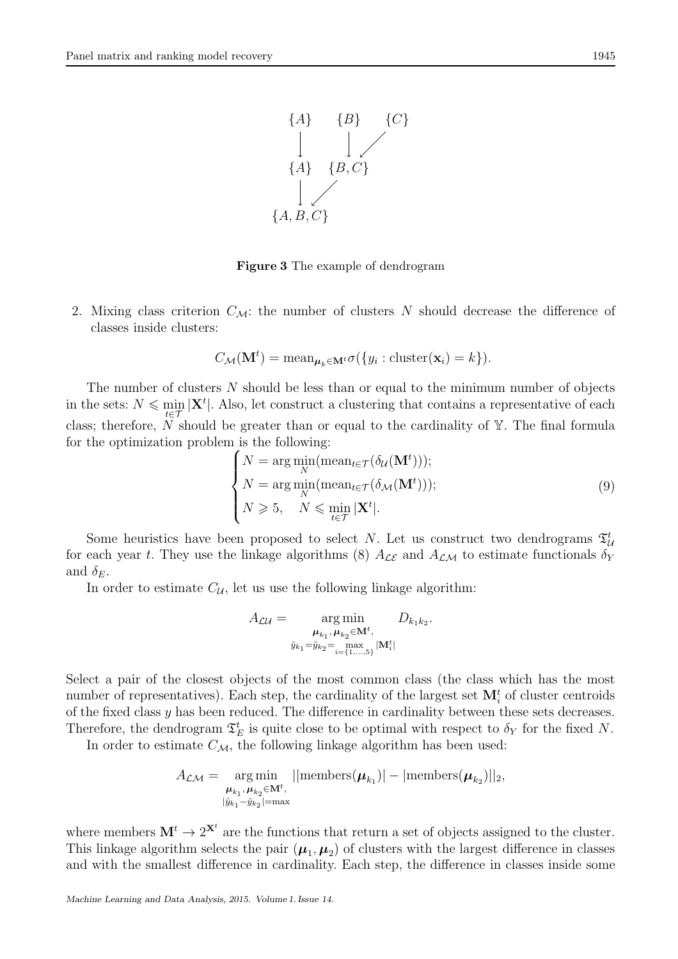

Figure 3 The example of dendrogram

2. Mixing class criterion  $C_M$ : the number of clusters N should decrease the difference of classes inside clusters:

$$
C_{\mathcal{M}}(\mathbf{M}^t) = \text{mean}_{\boldsymbol{\mu}_k \in \mathbf{M}^t} \sigma(\{y_i : \text{cluster}(\mathbf{x}_i) = k\}).
$$

The number of clusters  $N$  should be less than or equal to the minimum number of objects in the sets:  $N \leq \min_{t \in \mathcal{T}} |\mathbf{X}^t|$ . Also, let construct a clustering that contains a representative of each class; therefore, N should be greater than or equal to the cardinality of  $\mathbb{Y}$ . The final formula for the optimization problem is the following:

$$
\begin{cases}\nN = \arg\min_{N}(\text{mean}_{t \in \mathcal{T}}(\delta_{\mathcal{U}}(\mathbf{M}^{t}))), \\
N = \arg\min_{N}(\text{mean}_{t \in \mathcal{T}}(\delta_{\mathcal{M}}(\mathbf{M}^{t}))), \\
N \geqslant 5, \quad N \leqslant \min_{t \in \mathcal{T}} |\mathbf{X}^{t}|.\n\end{cases} \tag{9}
$$

Some heuristics have been proposed to select N. Let us construct two dendrograms  $\mathfrak{T}_{\mathcal{U}}^t$ for each year t. They use the linkage algorithms (8)  $A_{\mathcal{LE}}$  and  $A_{\mathcal{LM}}$  to estimate functionals  $\delta_Y$ and  $\delta_E$ .

In order to estimate  $C_{\mathcal{U}}$ , let us use the following linkage algorithm:

$$
A_{\mathcal{LU}} = \underset{\hat{y}_{k_1} = \hat{y}_{k_2} = \max\limits_{i=1,\dots,5} |M_i^t|}{\arg \min} D_{k_1 k_2}.
$$

Select a pair of the closest objects of the most common class (the class which has the most number of representatives). Each step, the cardinality of the largest set  $\mathbf{M}_i^t$  of cluster centroids of the fixed class  $y$  has been reduced. The difference in cardinality between these sets decreases. Therefore, the dendrogram  $\mathfrak{T}_E^t$  is quite close to be optimal with respect to  $\delta_Y$  for the fixed N.

In order to estimate  $C_{\mathcal{M}}$ , the following linkage algorithm has been used:

$$
A_{\mathcal{LM}} = \underset{\substack{\boldsymbol{\mu}_{k_1}, \boldsymbol{\mu}_{k_2} \in \mathbf{M}^t, \\ |\hat{y}_{k_1} - \hat{y}_{k_2}| = \max}}{\operatorname{arg\,min}} ||\text{members}(\boldsymbol{\mu}_{k_1})| - |\text{members}(\boldsymbol{\mu}_{k_2})||_2,
$$

where members  $M^t \to 2^{X^t}$  are the functions that return a set of objects assigned to the cluster. This linkage algorithm selects the pair  $(\mu_1, \mu_2)$  of clusters with the largest difference in classes and with the smallest difference in cardinality. Each step, the difference in classes inside some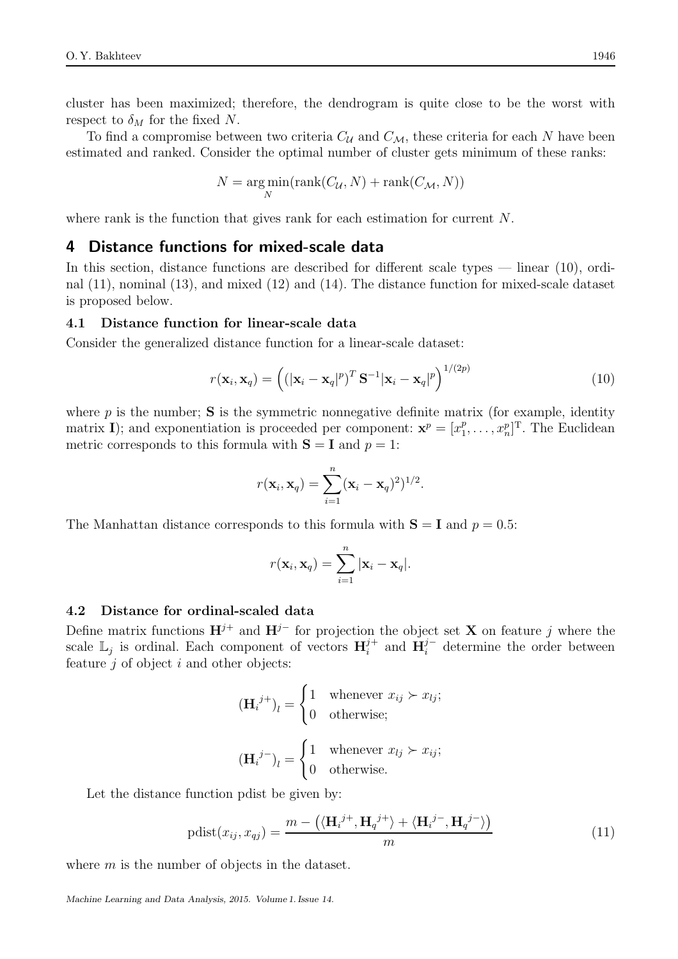cluster has been maximized; therefore, the dendrogram is quite close to be the worst with respect to  $\delta_M$  for the fixed N.

To find a compromise between two criteria  $C_{\mathcal{U}}$  and  $C_{\mathcal{M}}$ , these criteria for each N have been estimated and ranked. Consider the optimal number of cluster gets minimum of these ranks:

$$
N = \underset{N}{\text{arg min}}(\text{rank}(C_{\mathcal{U}}, N) + \text{rank}(C_{\mathcal{M}}, N))
$$

where rank is the function that gives rank for each estimation for current N.

## 4 Distance functions for mixed-scale data

In this section, distance functions are described for different scale types — linear (10), ordinal (11), nominal (13), and mixed (12) and (14). The distance function for mixed-scale dataset is proposed below.

### 4.1 Distance function for linear-scale data

Consider the generalized distance function for a linear-scale dataset:

$$
r(\mathbf{x}_i, \mathbf{x}_q) = \left( (|\mathbf{x}_i - \mathbf{x}_q|^p)^T \mathbf{S}^{-1} |\mathbf{x}_i - \mathbf{x}_q|^p \right)^{1/(2p)}
$$
(10)

where  $p$  is the number;  $S$  is the symmetric nonnegative definite matrix (for example, identity matrix I); and exponentiation is proceeded per component:  $\mathbf{x}^p = [x_1^p]$  $[x_1^p, \ldots, x_n^p]^T$ . The Euclidean metric corresponds to this formula with  $S = I$  and  $p = 1$ :

$$
r(\mathbf{x}_i, \mathbf{x}_q) = \sum_{i=1}^n (\mathbf{x}_i - \mathbf{x}_q)^2)^{1/2}.
$$

The Manhattan distance corresponds to this formula with  $S = I$  and  $p = 0.5$ :

$$
r(\mathbf{x}_i, \mathbf{x}_q) = \sum_{i=1}^n |\mathbf{x}_i - \mathbf{x}_q|.
$$

### 4.2 Distance for ordinal-scaled data

Define matrix functions  $\mathbf{H}^{j+}$  and  $\mathbf{H}^{j-}$  for projection the object set **X** on feature j where the scale  $\mathbb{L}_j$  is ordinal. Each component of vectors  $\mathbf{H}_i^{j+1}$  $i^{j+}$  and  $\mathbf{H}_{i}^{j-}$  determine the order between feature  $j$  of object  $i$  and other objects:

$$
(\mathbf{H}_{i}^{j+})_{l} = \begin{cases} 1 & \text{whenever } x_{ij} \succ x_{lj}; \\ 0 & \text{otherwise}; \end{cases}
$$

$$
(\mathbf{H}_{i}^{j-})_{l} = \begin{cases} 1 & \text{whenever } x_{lj} \succ x_{ij}; \\ 0 & \text{otherwise}. \end{cases}
$$

Let the distance function pdist be given by:

$$
pdist(x_{ij}, x_{qj}) = \frac{m - \left(\langle \mathbf{H}_i^{j+}, \mathbf{H}_q^{j+} \rangle + \langle \mathbf{H}_i^{j-}, \mathbf{H}_q^{j-} \rangle\right)}{m}
$$
(11)

where m is the number of objects in the dataset.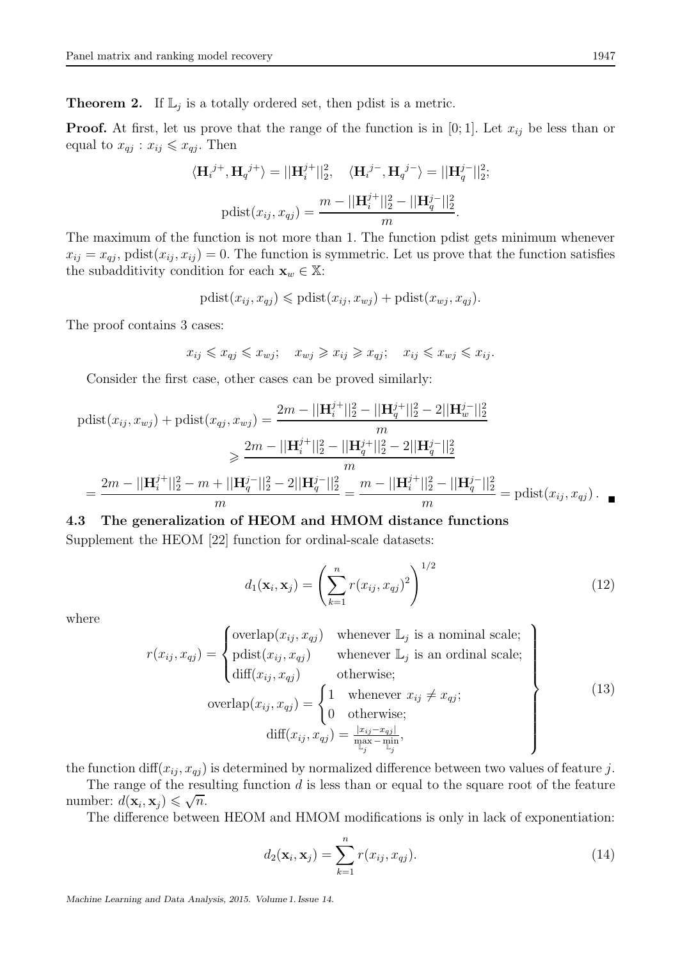**Theorem 2.** If  $\mathbb{L}_j$  is a totally ordered set, then pdist is a metric.

**Proof.** At first, let us prove that the range of the function is in [0; 1]. Let  $x_{ij}$  be less than or equal to  $x_{qj}: x_{ij} \leq x_{qj}$ . Then

$$
\langle \mathbf{H}_{i}^{j+}, \mathbf{H}_{q}^{j+} \rangle = ||\mathbf{H}_{i}^{j+}||_{2}^{2}, \quad \langle \mathbf{H}_{i}^{j-}, \mathbf{H}_{q}^{j-} \rangle = ||\mathbf{H}_{q}^{j-}||_{2}^{2};
$$
  
 
$$
\text{pdist}(x_{ij}, x_{qj}) = \frac{m - ||\mathbf{H}_{i}^{j+}||_{2}^{2} - ||\mathbf{H}_{q}^{j-}||_{2}^{2}}{m}.
$$

The maximum of the function is not more than 1. The function pdist gets minimum whenever  $x_{ij} = x_{ij}$ , pdist $(x_{ij}, x_{ij}) = 0$ . The function is symmetric. Let us prove that the function satisfies the subadditivity condition for each  $\mathbf{x}_w \in \mathbb{X}$ :

$$
pdist(x_{ij}, x_{qj}) \leqslant pdist(x_{ij}, x_{wj}) + pdist(x_{wj}, x_{qj}).
$$

The proof contains 3 cases:

$$
x_{ij} \leq x_{qj} \leq x_{wj}; \quad x_{wj} \geq x_{ij} \geq x_{qj}; \quad x_{ij} \leq x_{wj} \leq x_{ij}.
$$

Consider the first case, other cases can be proved similarly:

$$
\text{pdist}(x_{ij}, x_{wj}) + \text{pdist}(x_{qj}, x_{wj}) = \frac{2m - ||\mathbf{H}_{i}^{j+}||_{2}^{2} - ||\mathbf{H}_{q}^{j+}||_{2}^{2} - 2||\mathbf{H}_{w}^{j-}||_{2}^{2}}{m}
$$
\n
$$
\geq \frac{2m - ||\mathbf{H}_{i}^{j+}||_{2}^{2} - ||\mathbf{H}_{q}^{j+}||_{2}^{2} - 2||\mathbf{H}_{q}^{j-}||_{2}^{2}}{m}
$$
\n
$$
= \frac{2m - ||\mathbf{H}_{i}^{j+}||_{2}^{2} - m + ||\mathbf{H}_{q}^{j-}||_{2}^{2} - 2||\mathbf{H}_{q}^{j-}||_{2}^{2}}{m} = \frac{m - ||\mathbf{H}_{i}^{j+}||_{2}^{2} - ||\mathbf{H}_{q}^{j-}||_{2}^{2}}{m} = \text{pdist}(x_{ij}, x_{qj}).
$$

### 4.3 The generalization of HEOM and HMOM distance functions

Supplement the HEOM [22] function for ordinal-scale datasets:

$$
d_1(\mathbf{x}_i, \mathbf{x}_j) = \left(\sum_{k=1}^n r(x_{ij}, x_{qj})^2\right)^{1/2}
$$
 (12)

where

$$
r(x_{ij}, x_{qj}) = \begin{cases} \text{overlap}(x_{ij}, x_{qj}) & \text{whenever } \mathbb{L}_j \text{ is a nominal scale;} \\ \text{pdist}(x_{ij}, x_{qj}) & \text{whenever } \mathbb{L}_j \text{ is an ordinal scale;} \\ \text{diff}(x_{ij}, x_{qj}) & \text{otherwise;} \end{cases} \\ \text{overlap}(x_{ij}, x_{qj}) = \begin{cases} 1 & \text{whenever } x_{ij} \neq x_{qj}; \\ 0 & \text{otherwise;} \\ 0 & \text{otherwise;} \end{cases} \\ \text{diff}(x_{ij}, x_{qj}) = \frac{|x_{ij} - x_{qj}|}{\sum_{j} \sum_{j} \mathbb{L}_j}, \end{cases} \tag{13}
$$

the function  $\text{diff}(x_{ij}, x_{qi})$  is determined by normalized difference between two values of feature j.

The range of the resulting function  $d$  is less than or equal to the square root of the feature number:  $d(\mathbf{x}_i, \mathbf{x}_j) \leqslant \sqrt{n}$ .

The difference between HEOM and HMOM modifications is only in lack of exponentiation:

$$
d_2(\mathbf{x}_i, \mathbf{x}_j) = \sum_{k=1}^n r(x_{ij}, x_{qj}).
$$
\n(14)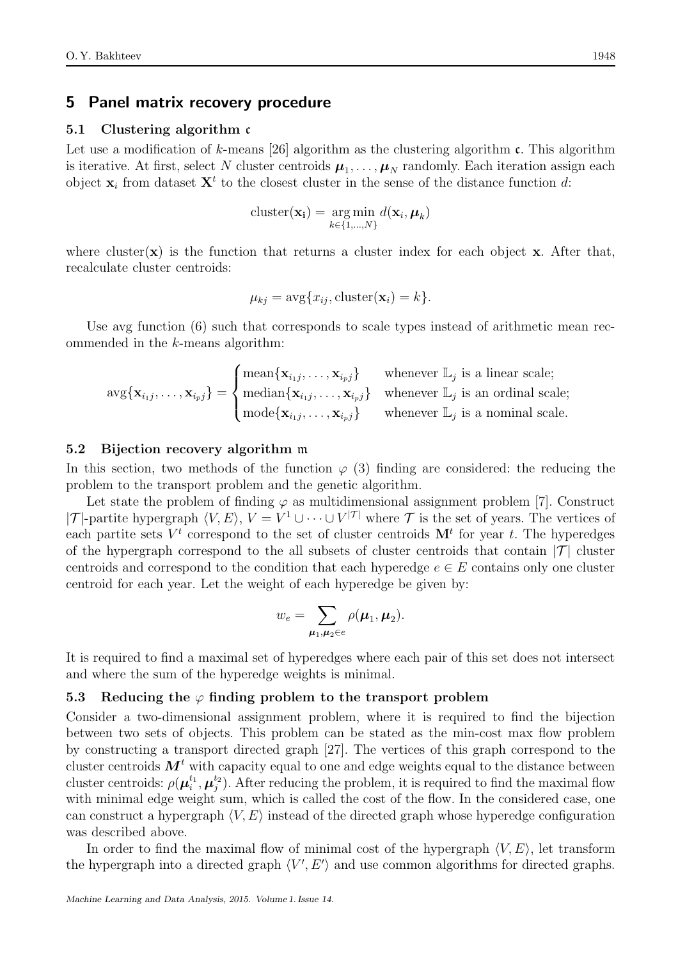## 5 Panel matrix recovery procedure

#### 5.1 Clustering algorithm c

Let use a modification of k-means [26] algorithm as the clustering algorithm  $\mathfrak{c}$ . This algorithm is iterative. At first, select N cluster centroids  $\mu_1, \ldots, \mu_N$  randomly. Each iteration assign each object  $\mathbf{x}_i$  from dataset  $\mathbf{X}^t$  to the closest cluster in the sense of the distance function d:

$$
\text{cluster}(\mathbf{x_i}) = \underset{k \in \{1, \dots, N\}}{\arg \min} d(\mathbf{x}_i, \boldsymbol{\mu}_k)
$$

where cluster( $\bf{x}$ ) is the function that returns a cluster index for each object  $\bf{x}$ . After that, recalculate cluster centroids:

$$
\mu_{kj} = \arg\{x_{ij}, \text{cluster}(\mathbf{x}_i) = k\}.
$$

Use avg function (6) such that corresponds to scale types instead of arithmetic mean recommended in the k-means algorithm:

$$
\text{avg}\{\mathbf{x}_{i_1j},\ldots,\mathbf{x}_{i_pj}\} = \begin{cases} \text{mean}\{\mathbf{x}_{i_1j},\ldots,\mathbf{x}_{i_pj}\} & \text{whenever } \mathbb{L}_j \text{ is a linear scale;} \\ \text{median}\{\mathbf{x}_{i_1j},\ldots,\mathbf{x}_{i_pj}\} & \text{whenever } \mathbb{L}_j \text{ is an ordinal scale;} \\ \text{mode}\{\mathbf{x}_{i_1j},\ldots,\mathbf{x}_{i_pj}\} & \text{whenever } \mathbb{L}_j \text{ is a nominal scale.} \end{cases}
$$

#### 5.2 Bijection recovery algorithm m

In this section, two methods of the function  $\varphi$  (3) finding are considered: the reducing the problem to the transport problem and the genetic algorithm.

Let state the problem of finding  $\varphi$  as multidimensional assignment problem [7]. Construct | $\mathcal{T}$ |-partite hypergraph  $\langle V, E \rangle$ ,  $V = V^1 \cup \cdots \cup V^{|\mathcal{T}|}$  where  $\mathcal{T}$  is the set of years. The vertices of each partite sets  $V^t$  correspond to the set of cluster centroids  $\mathbf{M}^t$  for year t. The hyperedges of the hypergraph correspond to the all subsets of cluster centroids that contain  $|\mathcal{T}|$  cluster centroids and correspond to the condition that each hyperedge  $e \in E$  contains only one cluster centroid for each year. Let the weight of each hyperedge be given by:

$$
w_e = \sum_{\mu_1,\mu_2 \in e} \rho(\mu_1,\mu_2).
$$

It is required to find a maximal set of hyperedges where each pair of this set does not intersect and where the sum of the hyperedge weights is minimal.

#### 5.3 Reducing the  $\varphi$  finding problem to the transport problem

Consider a two-dimensional assignment problem, where it is required to find the bijection between two sets of objects. This problem can be stated as the min-cost max flow problem by constructing a transport directed graph [27]. The vertices of this graph correspond to the cluster centroids  $M<sup>t</sup>$  with capacity equal to one and edge weights equal to the distance between cluster centroids:  $\rho(\mu_i^{t_1}, \mu_j^{t_2})$ . After reducing the problem, it is required to find the maximal flow with minimal edge weight sum, which is called the cost of the flow. In the considered case, one can construct a hypergraph  $\langle V, E \rangle$  instead of the directed graph whose hyperedge configuration was described above.

In order to find the maximal flow of minimal cost of the hypergraph  $\langle V, E \rangle$ , let transform the hypergraph into a directed graph  $\langle V', E' \rangle$  and use common algorithms for directed graphs.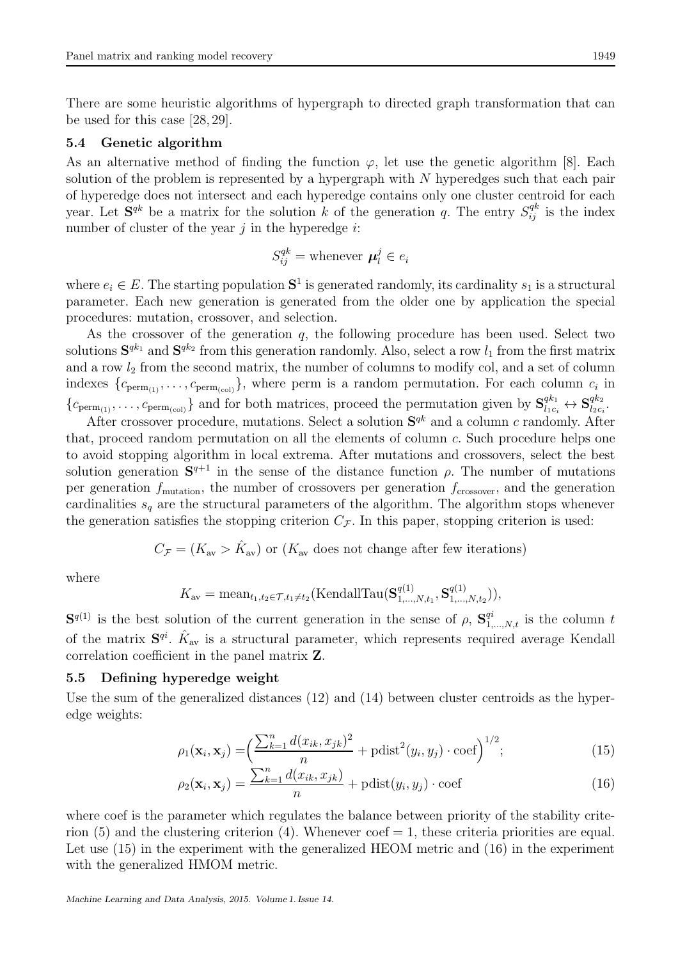There are some heuristic algorithms of hypergraph to directed graph transformation that can be used for this case [28, 29].

### 5.4 Genetic algorithm

As an alternative method of finding the function  $\varphi$ , let use the genetic algorithm [8]. Each solution of the problem is represented by a hypergraph with  $N$  hyperedges such that each pair of hyperedge does not intersect and each hyperedge contains only one cluster centroid for each year. Let  $S^{qk}$  be a matrix for the solution k of the generation q. The entry  $S^{qk}_{ij}$  is the index number of cluster of the year  $j$  in the hyperedge  $i$ :

$$
S_{ij}^{qk} = \text{whenever } \boldsymbol{\mu}_l^j \in e_i
$$

where  $e_i \in E$ . The starting population  $S^1$  is generated randomly, its cardinality  $s_1$  is a structural parameter. Each new generation is generated from the older one by application the special procedures: mutation, crossover, and selection.

As the crossover of the generation  $q$ , the following procedure has been used. Select two solutions  $S^{qk_1}$  and  $S^{qk_2}$  from this generation randomly. Also, select a row  $l_1$  from the first matrix and a row  $l_2$  from the second matrix, the number of columns to modify col, and a set of column indexes  $\{c_{\text{perm}_{(1)}}, \ldots, c_{\text{perm}_{(col)}}\}\$ , where perm is a random permutation. For each column  $c_i$  in  ${c_{\text{perm}_{(1)}}, \ldots, c_{\text{perm}_{(col)}}}$  and for both matrices, proceed the permutation given by  $S_{l_1c_i}^{qk_1} \leftrightarrow S_{l_2c_i}^{qk_2}$  $\frac{q\kappa_2}{l_2c_i}.$ 

After crossover procedure, mutations. Select a solution  $S^{qk}$  and a column c randomly. After that, proceed random permutation on all the elements of column  $c$ . Such procedure helps one to avoid stopping algorithm in local extrema. After mutations and crossovers, select the best solution generation  $S^{q+1}$  in the sense of the distance function  $\rho$ . The number of mutations per generation  $f_{\text{mutation}}$ , the number of crossovers per generation  $f_{\text{crossover}}$ , and the generation cardinalities  $s_q$  are the structural parameters of the algorithm. The algorithm stops whenever the generation satisfies the stopping criterion  $C_{\mathcal{F}}$ . In this paper, stopping criterion is used:

$$
C_{\mathcal{F}} = (K_{\text{av}} > \hat{K}_{\text{av}})
$$
 or  $(K_{\text{av}}$  does not change after few iterations)

where

$$
K_{\text{av}} = \text{mean}_{t_1, t_2 \in \mathcal{T}, t_1 \neq t_2}(\text{KendallTau}(\mathbf{S}_{1,\dots,N,t_1}^{q(1)}, \mathbf{S}_{1,\dots,N,t_2}^{q(1)})),
$$

 $S^{q(1)}$  is the best solution of the current generation in the sense of  $\rho$ ,  $S^{qi}_{1,\dots,N,t}$  is the column t of the matrix  $S^{qi}$ .  $\hat{K}_{av}$  is a structural parameter, which represents required average Kendall correlation coefficient in the panel matrix Z.

## 5.5 Defining hyperedge weight

Use the sum of the generalized distances (12) and (14) between cluster centroids as the hyperedge weights:

$$
\rho_1(\mathbf{x}_i, \mathbf{x}_j) = \left(\frac{\sum_{k=1}^n d(x_{ik}, x_{jk})^2}{n} + \text{pdist}^2(y_i, y_j) \cdot \text{coeff}\right)^{1/2};
$$
\n(15)

$$
\rho_2(\mathbf{x}_i, \mathbf{x}_j) = \frac{\sum_{k=1}^n d(x_{ik}, x_{jk})}{n} + \text{pdist}(y_i, y_j) \cdot \text{coeff}
$$
\n(16)

where coef is the parameter which regulates the balance between priority of the stability criterion  $(5)$  and the clustering criterion  $(4)$ . Whenever coef  $= 1$ , these criteria priorities are equal. Let use (15) in the experiment with the generalized HEOM metric and (16) in the experiment with the generalized HMOM metric.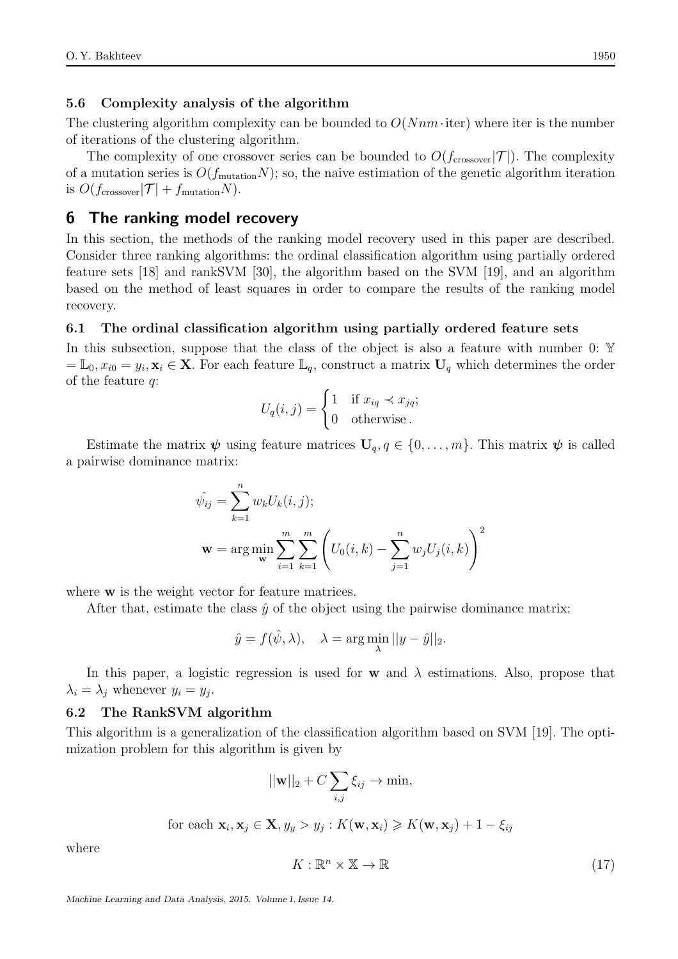### 5.6 Complexity analysis of the algorithm

The clustering algorithm complexity can be bounded to  $O(Nnm \cdot \text{iter})$  where iter is the number of iterations of the clustering algorithm.

The complexity of one crossover series can be bounded to  $O(f_{\text{crossover}}|\mathcal{T}|)$ . The complexity of a mutation series is  $O(f_{\text{mutation}}N)$ ; so, the naive estimation of the genetic algorithm iteration is  $O(f_{\text{crossover}}|\mathcal{T}| + f_{\text{mutation}}N)$ .

# 6 The ranking model recovery

In this section, the methods of the ranking model recovery used in this paper are described. Consider three ranking algorithms: the ordinal classification algorithm using partially ordered feature sets [18] and rankSVM [30], the algorithm based on the SVM [19], and an algorithm based on the method of least squares in order to compare the results of the ranking model recovery.

### 6.1 The ordinal classification algorithm using partially ordered feature sets

In this subsection, suppose that the class of the object is also a feature with number  $0: Y$  $=\mathbb{L}_0, x_{i0} = y_i, \mathbf{x}_i \in \mathbf{X}$ . For each feature  $\mathbb{L}_q$ , construct a matrix  $\mathbf{U}_q$  which determines the order of the feature q:

$$
U_q(i,j) = \begin{cases} 1 & \text{if } x_{iq} \prec x_{jq}; \\ 0 & \text{otherwise}. \end{cases}
$$

Estimate the matrix  $\psi$  using feature matrices  $U_q, q \in \{0, \ldots, m\}$ . This matrix  $\psi$  is called a pairwise dominance matrix:

$$
\hat{\psi}_{ij} = \sum_{k=1}^{n} w_k U_k(i, j);
$$
  

$$
\mathbf{w} = \arg \min_{\mathbf{w}} \sum_{i=1}^{m} \sum_{k=1}^{m} \left( U_0(i, k) - \sum_{j=1}^{n} w_j U_j(i, k) \right)^2
$$

where **w** is the weight vector for feature matrices.

After that, estimate the class  $\hat{y}$  of the object using the pairwise dominance matrix:

$$
\hat{y} = f(\hat{\psi}, \lambda), \quad \lambda = \arg \min_{\lambda} ||y - \hat{y}||_2.
$$

In this paper, a logistic regression is used for **w** and  $\lambda$  estimations. Also, propose that  $\lambda_i = \lambda_j$  whenever  $y_i = y_j$ .

### 6.2 The RankSVM algorithm

This algorithm is a generalization of the classification algorithm based on SVM [19]. The optimization problem for this algorithm is given by

$$
||\mathbf{w}||_2 + C \sum_{i,j} \xi_{ij} \to \min,
$$

for each 
$$
\mathbf{x}_i, \mathbf{x}_j \in \mathbf{X}, y_y > y_j : K(\mathbf{w}, \mathbf{x}_i) \geq K(\mathbf{w}, \mathbf{x}_j) + 1 - \xi_{ij}
$$

where

 $K: \mathbb{R}^n \times \mathbb{X} \to \mathbb{R}$  (17)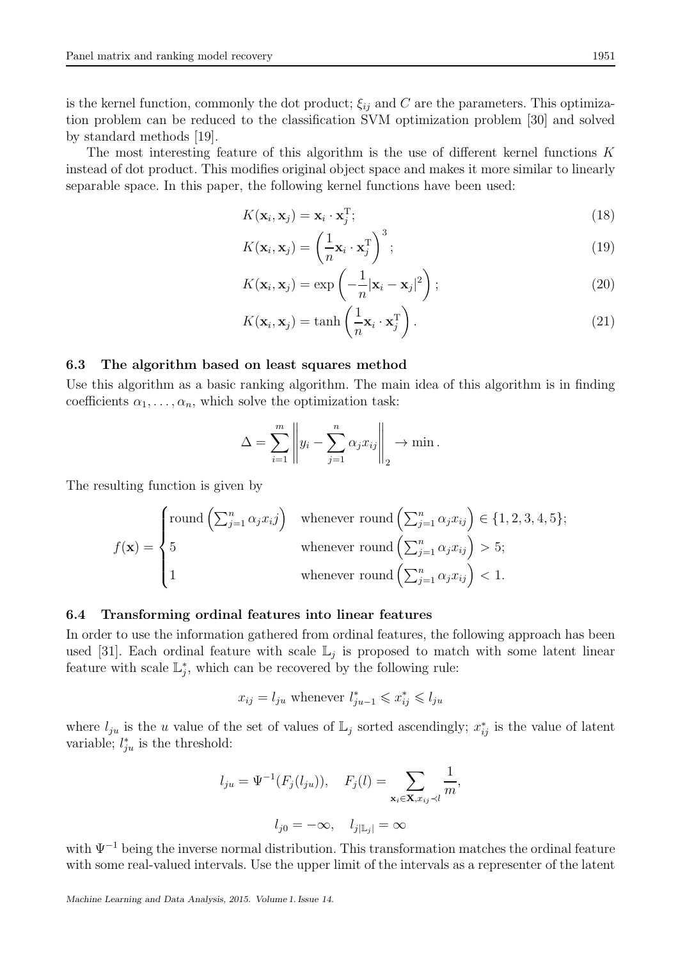is the kernel function, commonly the dot product;  $\xi_{ij}$  and C are the parameters. This optimization problem can be reduced to the classification SVM optimization problem [30] and solved by standard methods [19].

The most interesting feature of this algorithm is the use of different kernel functions K instead of dot product. This modifies original object space and makes it more similar to linearly separable space. In this paper, the following kernel functions have been used:

$$
K(\mathbf{x}_i, \mathbf{x}_j) = \mathbf{x}_i \cdot \mathbf{x}_j^{\mathrm{T}};
$$
\n(18)

$$
K(\mathbf{x}_i, \mathbf{x}_j) = \left(\frac{1}{n}\mathbf{x}_i \cdot \mathbf{x}_j^{\mathrm{T}}\right)^3; \tag{19}
$$

$$
K(\mathbf{x}_i, \mathbf{x}_j) = \exp\left(-\frac{1}{n}|\mathbf{x}_i - \mathbf{x}_j|^2\right);
$$
\n(20)

$$
K(\mathbf{x}_i, \mathbf{x}_j) = \tanh\left(\frac{1}{n}\mathbf{x}_i \cdot \mathbf{x}_j^{\mathrm{T}}\right). \tag{21}
$$

### 6.3 The algorithm based on least squares method

Use this algorithm as a basic ranking algorithm. The main idea of this algorithm is in finding coefficients  $\alpha_1, \ldots, \alpha_n$ , which solve the optimization task:

$$
\Delta = \sum_{i=1}^m \left\| y_i - \sum_{j=1}^n \alpha_j x_{ij} \right\|_2 \to \min.
$$

The resulting function is given by

$$
f(\mathbf{x}) = \begin{cases} \text{round}\left(\sum_{j=1}^{n} \alpha_j x_i j\right) & \text{whenever round}\left(\sum_{j=1}^{n} \alpha_j x_{ij}\right) \in \{1, 2, 3, 4, 5\};\\ 5 & \text{whenever round}\left(\sum_{j=1}^{n} \alpha_j x_{ij}\right) > 5;\\ 1 & \text{whenever round}\left(\sum_{j=1}^{n} \alpha_j x_{ij}\right) < 1. \end{cases}
$$

#### 6.4 Transforming ordinal features into linear features

In order to use the information gathered from ordinal features, the following approach has been used [31]. Each ordinal feature with scale  $\mathbb{L}_j$  is proposed to match with some latent linear feature with scale  $\mathbb{L}_j^*$ , which can be recovered by the following rule:

$$
x_{ij} = l_{ju}
$$
 whenever  $l_{ju-1}^* \leq x_{ij}^* \leq l_{ju}$ 

where  $l_{ju}$  is the u value of the set of values of  $\mathbb{L}_j$  sorted ascendingly;  $x_{ij}^*$  is the value of latent variable;  $l_{ju}^*$  is the threshold:

$$
l_{ju} = \Psi^{-1}(F_j(l_{ju})), \quad F_j(l) = \sum_{\mathbf{x}_i \in \mathbf{X}, x_{ij} \prec l} \frac{1}{m},
$$

$$
l_{j0} = -\infty, \quad l_{j|\mathbb{L}_j|} = \infty
$$

with  $\Psi^{-1}$  being the inverse normal distribution. This transformation matches the ordinal feature with some real-valued intervals. Use the upper limit of the intervals as a representer of the latent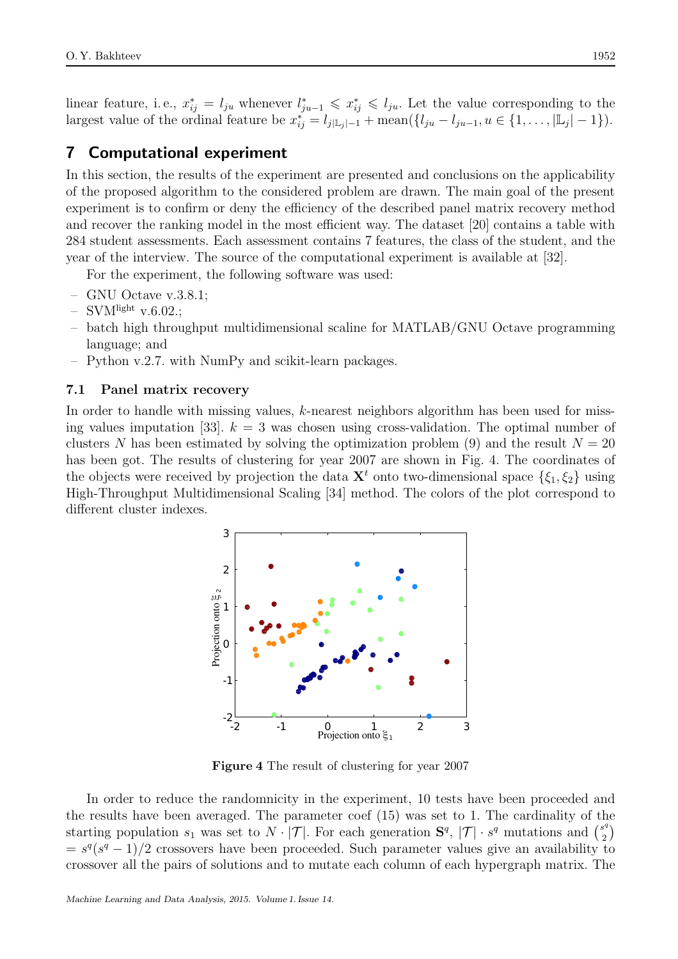linear feature, i.e.,  $x_{ij}^* = l_{ju}$  whenever  $l_{ju-1}^* \leqslant x_{ij}^* \leqslant l_{ju}$ . Let the value corresponding to the largest value of the ordinal feature be  $x_{ij}^* = l_{j|L_j|-1} + \text{mean}(\{l_{ju} - l_{ju-1}, u \in \{1, ..., |L_j|-1\}).$ 

# 7 Computational experiment

In this section, the results of the experiment are presented and conclusions on the applicability of the proposed algorithm to the considered problem are drawn. The main goal of the present experiment is to confirm or deny the efficiency of the described panel matrix recovery method and recover the ranking model in the most efficient way. The dataset [20] contains a table with 284 student assessments. Each assessment contains 7 features, the class of the student, and the year of the interview. The source of the computational experiment is available at [32].

For the experiment, the following software was used:

- GNU Octave v.3.8.1;
- $-$  SVM<sup>light</sup> v.6.02.;
- batch high throughput multidimensional scaline for MATLAB/GNU Octave programming language; and
- Python v.2.7. with NumPy and scikit-learn packages.

## 7.1 Panel matrix recovery

In order to handle with missing values,  $k$ -nearest neighbors algorithm has been used for missing values imputation [33].  $k = 3$  was chosen using cross-validation. The optimal number of clusters N has been estimated by solving the optimization problem (9) and the result  $N = 20$ has been got. The results of clustering for year 2007 are shown in Fig. 4. The coordinates of the objects were received by projection the data  $X<sup>t</sup>$  onto two-dimensional space  $\{\xi_1, \xi_2\}$  using High-Throughput Multidimensional Scaling [34] method. The colors of the plot correspond to different cluster indexes.



Figure 4 The result of clustering for year 2007

In order to reduce the randomnicity in the experiment, 10 tests have been proceeded and the results have been averaged. The parameter coef (15) was set to 1. The cardinality of the starting population  $s_1$  was set to  $N \cdot |\mathcal{T}|$ . For each generation  $\mathbf{S}^q$ ,  $|\mathcal{T}| \cdot s^q$  mutations and  $\binom{s^q}{2}$  $\binom{3^q}{2}$  $= s<sup>q</sup>(s<sup>q</sup> - 1)/2$  crossovers have been proceeded. Such parameter values give an availability to crossover all the pairs of solutions and to mutate each column of each hypergraph matrix. The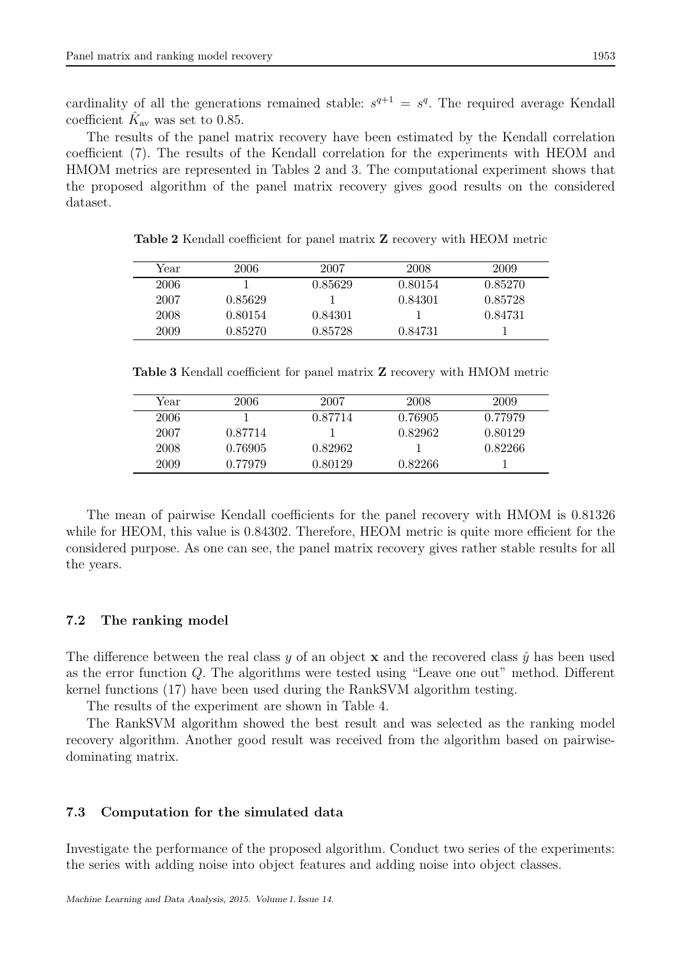cardinality of all the generations remained stable:  $s^{q+1} = s^q$ . The required average Kendall coefficient  $\hat{K}_{\text{av}}$  was set to 0.85.

The results of the panel matrix recovery have been estimated by the Kendall correlation coefficient (7). The results of the Kendall correlation for the experiments with HEOM and HMOM metrics are represented in Tables 2 and 3. The computational experiment shows that the proposed algorithm of the panel matrix recovery gives good results on the considered dataset.

| Year | 2006    | 2007    | 2008    | 2009    |
|------|---------|---------|---------|---------|
| 2006 |         | 0.85629 | 0.80154 | 0.85270 |
| 2007 | 0.85629 |         | 0.84301 | 0.85728 |
| 2008 | 0.80154 | 0.84301 |         | 0.84731 |
| 2009 | 0.85270 | 0.85728 | 0.84731 |         |

Table 2 Kendall coefficient for panel matrix Z recovery with HEOM metric

Table 3 Kendall coefficient for panel matrix Z recovery with HMOM metric

| Year | 2006    | 2007    | 2008    | 2009    |
|------|---------|---------|---------|---------|
| 2006 |         | 0.87714 | 0.76905 | 0.77979 |
| 2007 | 0.87714 |         | 0.82962 | 0.80129 |
| 2008 | 0.76905 | 0.82962 |         | 0.82266 |
| 2009 | 0.77979 | 0.80129 | 0.82266 |         |

The mean of pairwise Kendall coefficients for the panel recovery with HMOM is 0.81326 while for HEOM, this value is  $0.84302$ . Therefore, HEOM metric is quite more efficient for the considered purpose. As one can see, the panel matrix recovery gives rather stable results for all the years.

## 7.2 The ranking model

The difference between the real class y of an object **x** and the recovered class  $\hat{y}$  has been used as the error function Q. The algorithms were tested using "Leave one out" method. Different kernel functions (17) have been used during the RankSVM algorithm testing.

The results of the experiment are shown in Table 4.

The RankSVM algorithm showed the best result and was selected as the ranking model recovery algorithm. Another good result was received from the algorithm based on pairwisedominating matrix.

### 7.3 Computation for the simulated data

Investigate the performance of the proposed algorithm. Conduct two series of the experiments: the series with adding noise into object features and adding noise into object classes.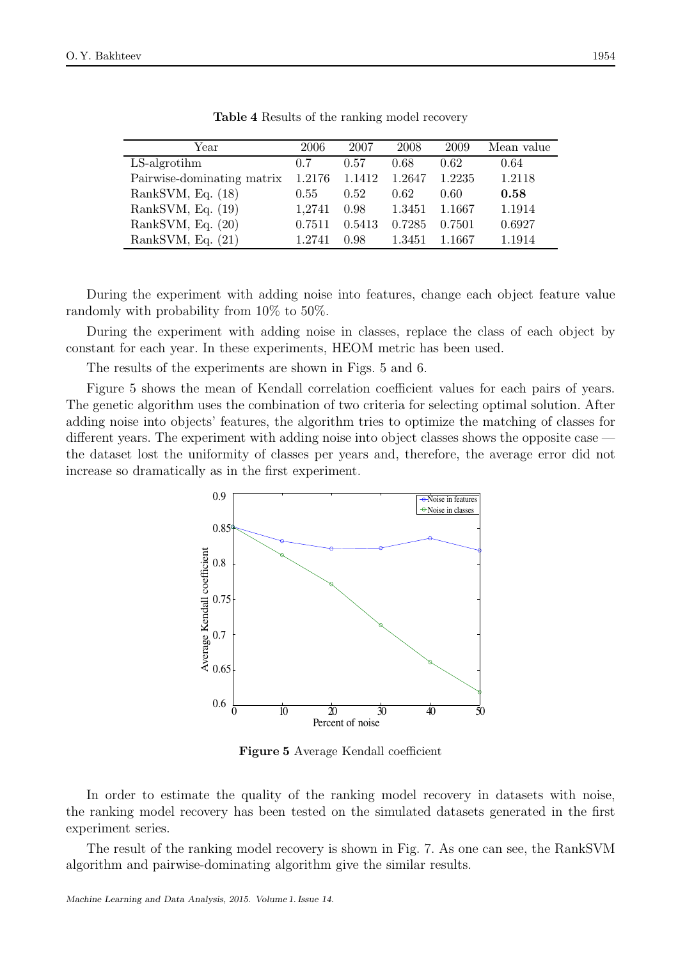| Year                       | 2006   | 2007   | 2008   | 2009   | Mean value |
|----------------------------|--------|--------|--------|--------|------------|
| $LS$ -algrotihm            | 0.7    | 0.57   | 0.68   | 0.62   | 0.64       |
| Pairwise-dominating matrix | 1.2176 | 1.1412 | 1.2647 | 1.2235 | 1.2118     |
| RankSVM, Eq. $(18)$        | 0.55   | 0.52   | 0.62   | 0.60   | 0.58       |
| RankSVM, Eq. $(19)$        | 1,2741 | 0.98   | 1.3451 | 1.1667 | 1.1914     |
| RankSVM, Eq. (20)          | 0.7511 | 0.5413 | 0.7285 | 0.7501 | 0.6927     |
| RankSVM, Eq. $(21)$        | 1.2741 | 0.98   | 1.3451 | 1.1667 | 1.1914     |

Table 4 Results of the ranking model recovery

During the experiment with adding noise into features, change each object feature value randomly with probability from 10% to 50%.

During the experiment with adding noise in classes, replace the class of each object by constant for each year. In these experiments, HEOM metric has been used.

The results of the experiments are shown in Figs. 5 and 6.

Figure 5 shows the mean of Kendall correlation coefficient values for each pairs of years. The genetic algorithm uses the combination of two criteria for selecting optimal solution. After adding noise into objects' features, the algorithm tries to optimize the matching of classes for different years. The experiment with adding noise into object classes shows the opposite case the dataset lost the uniformity of classes per years and, therefore, the average error did not increase so dramatically as in the first experiment.



Figure 5 Average Kendall coefficient

In order to estimate the quality of the ranking model recovery in datasets with noise, the ranking model recovery has been tested on the simulated datasets generated in the first experiment series.

The result of the ranking model recovery is shown in Fig. 7. As one can see, the RankSVM algorithm and pairwise-dominating algorithm give the similar results.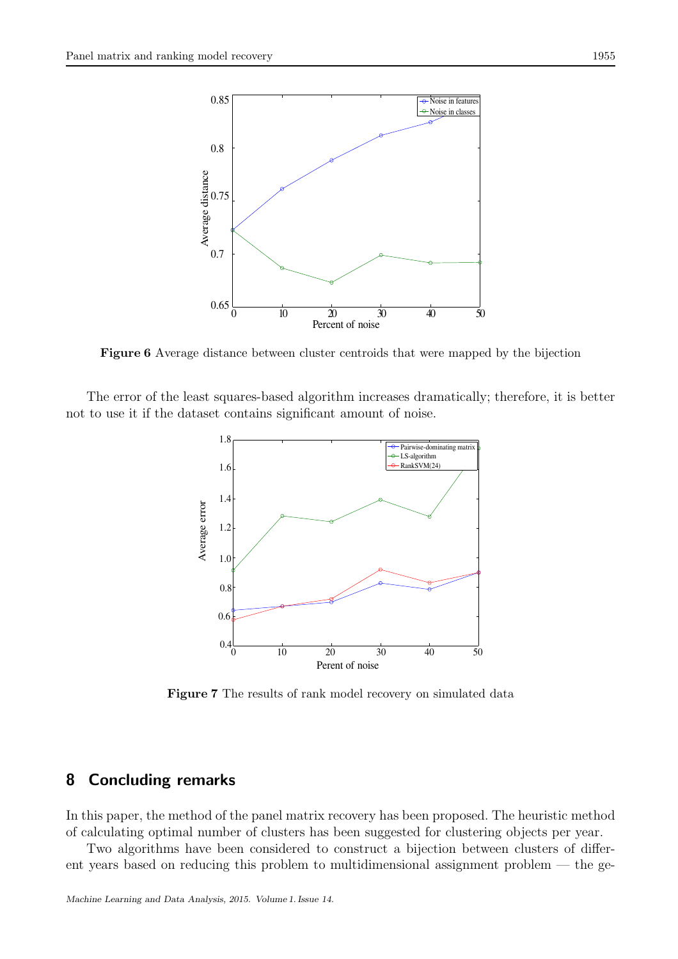

Figure 6 Average distance between cluster centroids that were mapped by the bijection

The error of the least squares-based algorithm increases dramatically; therefore, it is better not to use it if the dataset contains significant amount of noise.



Figure 7 The results of rank model recovery on simulated data

# 8 Concluding remarks

In this paper, the method of the panel matrix recovery has been proposed. The heuristic method of calculating optimal number of clusters has been suggested for clustering objects per year.

Two algorithms have been considered to construct a bijection between clusters of different years based on reducing this problem to multidimensional assignment problem — the ge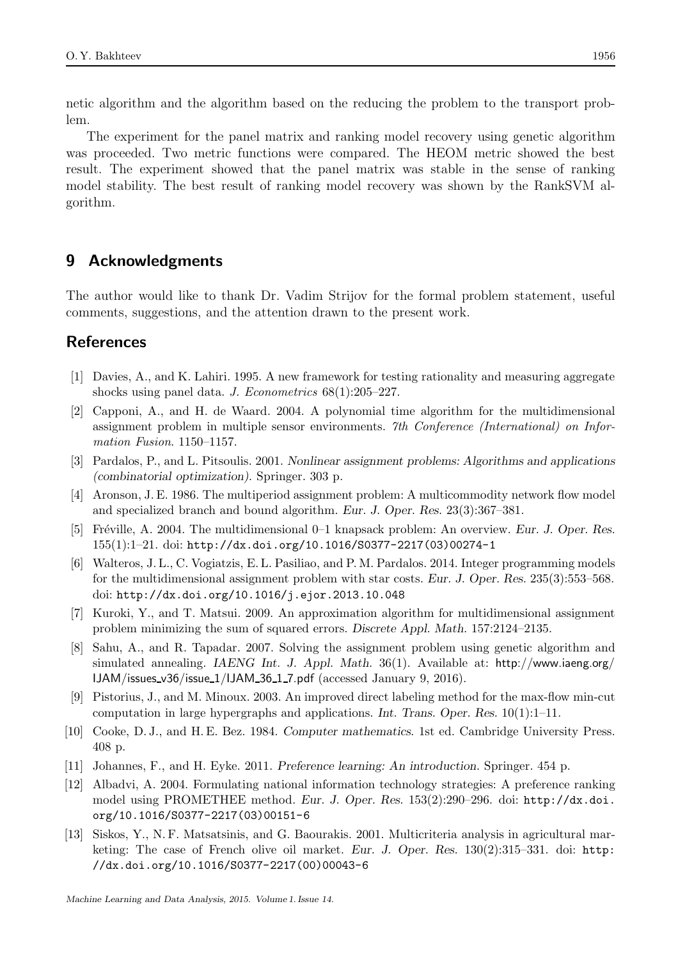netic algorithm and the algorithm based on the reducing the problem to the transport problem.

The experiment for the panel matrix and ranking model recovery using genetic algorithm was proceeded. Two metric functions were compared. The HEOM metric showed the best result. The experiment showed that the panel matrix was stable in the sense of ranking model stability. The best result of ranking model recovery was shown by the RankSVM algorithm.

# 9 Acknowledgments

The author would like to thank Dr. Vadim Strijov for the formal problem statement, useful comments, suggestions, and the attention drawn to the present work.

# References

- [1] Davies, A., and K. Lahiri. 1995. A new framework for testing rationality and measuring aggregate shocks using panel data. J. Econometrics  $68(1):205-227$ .
- [2] Capponi, A., and H. de Waard. 2004. A polynomial time algorithm for the multidimensional assignment problem in multiple sensor environments. 7th Conference (International) on Information Fusion. 1150–1157.
- [3] Pardalos, P., and L. Pitsoulis. 2001. *Nonlinear assignment problems: Algorithms and applications (combinatorial optimization)*. Springer. 303 p.
- [4] Aronson, J. E. 1986. The multiperiod assignment problem: A multicommodity network flow model and specialized branch and bound algorithm. *Eur. J. Oper. Res.* 23(3):367–381.
- [5] Fr´eville, A. 2004. The multidimensional 0–1 knapsack problem: An overview. *Eur. J. Oper. Res.* 155(1):1–21. doi: http://dx.doi.org/10.1016/S0377-2217(03)00274-1
- [6] Walteros, J. L., C. Vogiatzis, E. L. Pasiliao, and P. M. Pardalos. 2014. Integer programming models for the multidimensional assignment problem with star costs. *Eur. J. Oper. Res.* 235(3):553–568. doi: http://dx.doi.org/10.1016/j.ejor.2013.10.048
- [7] Kuroki, Y., and T. Matsui. 2009. An approximation algorithm for multidimensional assignment problem minimizing the sum of squared errors. *Discrete Appl. Math.* 157:2124–2135.
- [8] Sahu, A., and R. Tapadar. 2007. Solving the assignment problem using genetic algorithm and simulated annealing. *IAENG Int. J. Appl. Math.* 36(1). Available at: http://www.iaeng.org/ IJAM/issues v36/issue 1/IJAM 36 1 7.pdf (accessed January 9, 2016).
- [9] Pistorius, J., and M. Minoux. 2003. An improved direct labeling method for the max-flow min-cut computation in large hypergraphs and applications. *Int. Trans. Oper. Res.* 10(1):1–11.
- [10] Cooke, D. J., and H. E. Bez. 1984. *Computer mathematics*. 1st ed. Cambridge University Press. 408 p.
- [11] Johannes, F., and H. Eyke. 2011. *Preference learning: An introduction*. Springer. 454 p.
- [12] Albadvi, A. 2004. Formulating national information technology strategies: A preference ranking model using PROMETHEE method. *Eur. J. Oper. Res*. 153(2):290–296. doi: http://dx.doi. org/10.1016/S0377-2217(03)00151-6
- [13] Siskos, Y., N. F. Matsatsinis, and G. Baourakis. 2001. Multicriteria analysis in agricultural marketing: The case of French olive oil market. *Eur. J. Oper. Res.* 130(2):315–331. doi: http: //dx.doi.org/10.1016/S0377-2217(00)00043-6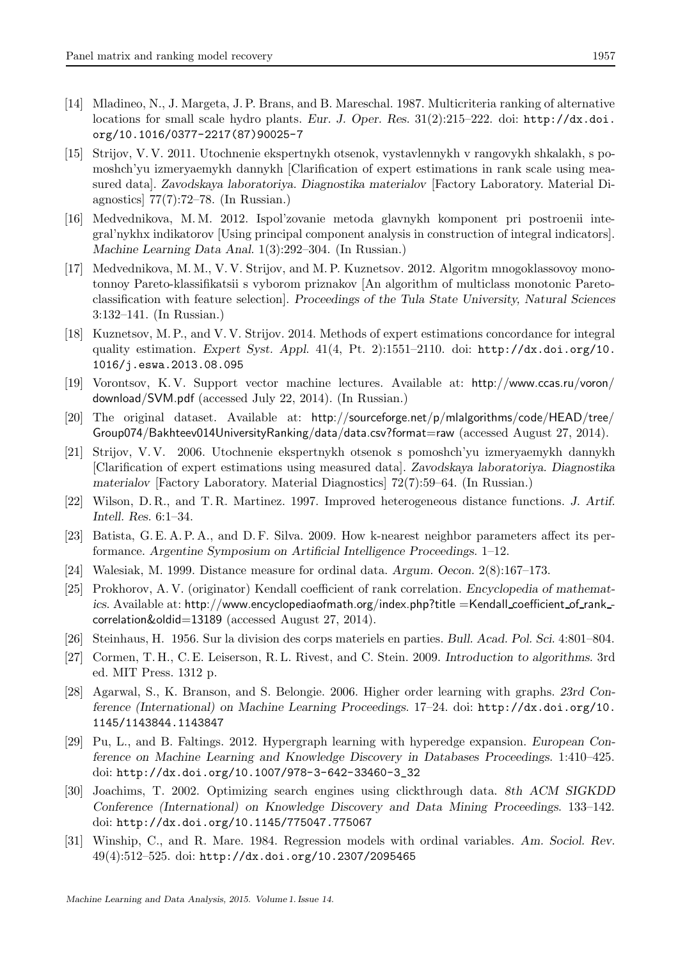- [14] Mladineo, N., J. Margeta, J. P. Brans, and B. Mareschal. 1987. Multicriteria ranking of alternative locations for small scale hydro plants. *Eur. J. Oper. Res.* 31(2):215–222. doi: http://dx.doi. org/10.1016/0377-2217(87)90025-7
- [15] Strijov, V. V. 2011. Utochnenie ekspertnykh otsenok, vystavlennykh v rangovykh shkalakh, s pomoshch'yu izmeryaemykh dannykh [Clarification of expert estimations in rank scale using measured data]. *Zavodskaya laboratoriya. Diagnostika materialov* [Factory Laboratory. Material Diagnostics] 77(7):72–78. (In Russian.)
- [16] Medvednikova, M. M. 2012. Ispol'zovanie metoda glavnykh komponent pri postroenii integral'nykhx indikatorov [Using principal component analysis in construction of integral indicators]. *Machine Learning Data Anal*. 1(3):292–304. (In Russian.)
- [17] Medvednikova, M. M., V. V. Strijov, and M. P. Kuznetsov. 2012. Algoritm mnogoklassovoy monotonnoy Pareto-klassifikatsii s vyborom priznakov [An algorithm of multiclass monotonic Paretoclassification with feature selection]. *Proceedings of the Tula State University, Natural Sciences* 3:132–141. (In Russian.)
- [18] Kuznetsov, M. P., and V. V. Strijov. 2014. Methods of expert estimations concordance for integral quality estimation. *Expert Syst. Appl*. 41(4, Pt. 2):1551–2110. doi: http://dx.doi.org/10. 1016/j.eswa.2013.08.095
- [19] Vorontsov, K. V. Support vector machine lectures. Available at: http://www.ccas.ru/voron/ download/SVM.pdf (accessed July 22, 2014). (In Russian.)
- [20] The original dataset. Available at: http://sourceforge.net/p/mlalgorithms/code/HEAD/tree/ Group074/Bakhteev014UniversityRanking/data/data.csv?format=raw (accessed August 27, 2014).
- [21] Strijov, V. V. 2006. Utochnenie ekspertnykh otsenok s pomoshch'yu izmeryaemykh dannykh [Clarification of expert estimations using measured data]. *Zavodskaya laboratoriya. Diagnostika materialov* [Factory Laboratory. Material Diagnostics] 72(7):59–64. (In Russian.)
- [22] Wilson, D. R., and T. R. Martinez. 1997. Improved heterogeneous distance functions. *J. Artif. Intell. Res.* 6:1–34.
- [23] Batista, G. E. A. P. A., and D. F. Silva. 2009. How k-nearest neighbor parameters affect its performance. *Argentine Symposium on Artificial Intelligence Proceedings*. 1–12.
- [24] Walesiak, M. 1999. Distance measure for ordinal data. *Argum. Oecon.* 2(8):167–173.
- [25] Prokhorov, A. V. (originator) Kendall coefficient of rank correlation. *Encyclopedia of mathematics*. Available at: http://www.encyclopediaofmath.org/index.php?title =Kendall\_coefficient\_of\_rank\_correlation&oldid=13189 (accessed August 27, 2014).
- [26] Steinhaus, H. 1956. Sur la division des corps materiels en parties. *Bull. Acad. Pol. Sci*. 4:801–804.
- [27] Cormen, T. H., C. E. Leiserson, R. L. Rivest, and C. Stein. 2009. *Introduction to algorithms.* 3rd ed. MIT Press. 1312 p.
- [28] Agarwal, S., K. Branson, and S. Belongie. 2006. Higher order learning with graphs. *23rd Conference (International) on Machine Learning Proceedings*. 17–24. doi: http://dx.doi.org/10. 1145/1143844.1143847
- [29] Pu, L., and B. Faltings. 2012. Hypergraph learning with hyperedge expansion. *European Conference on Machine Learning and Knowledge Discovery in Databases Proceedings*. 1:410–425. doi: http://dx.doi.org/10.1007/978-3-642-33460-3\_32
- [30] Joachims, T. 2002. Optimizing search engines using clickthrough data. *8th ACM SIGKDD Conference (International) on Knowledge Discovery and Data Mining Proceedings*. 133–142. doi: http://dx.doi.org/10.1145/775047.775067
- [31] Winship, C., and R. Mare. 1984. Regression models with ordinal variables. *Am. Sociol. Rev*. 49(4):512–525. doi: http://dx.doi.org/10.2307/2095465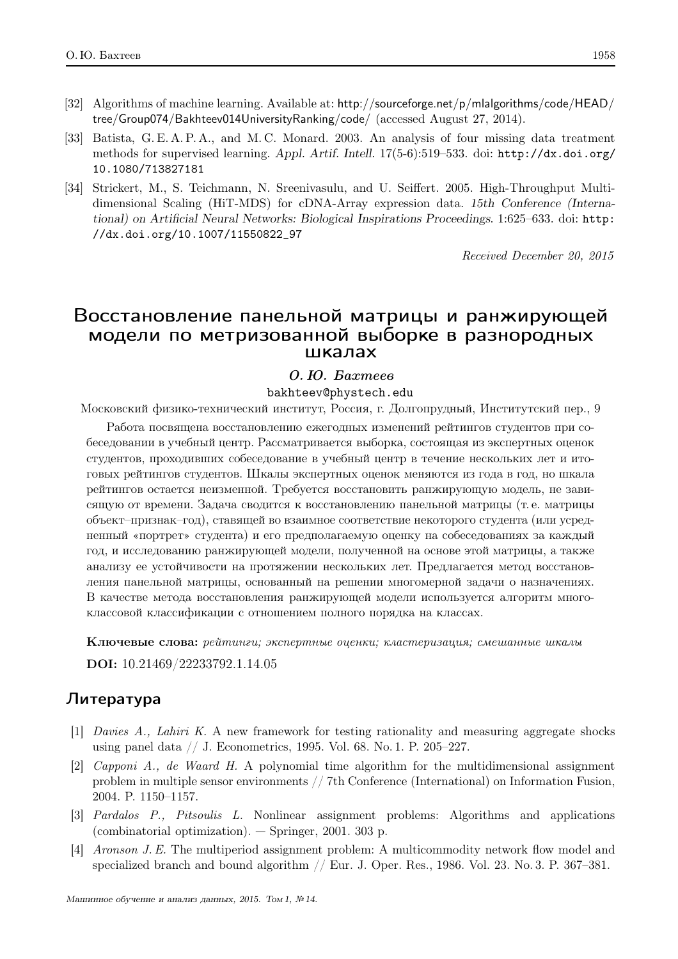- [32] Algorithms of machine learning. Available at: http://sourceforge.net/p/mlalgorithms/code/HEAD/ tree/Group074/Bakhteev014UniversityRanking/code/ (accessed August 27, 2014).
- [33] Batista, G. E. A. P. A., and M. C. Monard. 2003. An analysis of four missing data treatment methods for supervised learning. *Appl. Artif. Intell.* 17(5-6):519–533. doi: http://dx.doi.org/ 10.1080/713827181
- [34] Strickert, M., S. Teichmann, N. Sreenivasulu, and U. Seiffert. 2005. High-Throughput Multidimensional Scaling (HiT-MDS) for cDNA-Array expression data. *15th Conference (International) on Artificial Neural Networks: Biological Inspirations Proceedings*. 1:625–633. doi: http: //dx.doi.org/10.1007/11550822\_97

Received December 20, 2015

# Восстановление панельной матрицы и ранжирующей модели по метризованной выборке в разнородных шкалах

## О.Ю. Бахтеев

bakhteev@phystech.edu

Московский физико-технический институт, Россия, г. Долгопрудный, Институтский пер., 9

Работа посвящена восстановлению ежегодных изменений рейтингов студентов при собеседовании в учебный центр. Рассматривается выборка, состоящая из экспертных оценок студентов, проходивших собеседование в учебный центр в течение нескольких лет и итоговых рейтингов студентов. Шкалы экспертных оценок меняются из года в год, но шкала рейтингов остается неизменной. Требуется восстановить ранжирующую модель, не зависящую от времени. Задача сводится к восстановлению панельной матрицы (т. е. матрицы объект–признак–год), ставящей во взаимное соответствие некоторого студента (или усредненный «портрет» студента) и его предполагаемую оценку на собеседованиях за каждый год, и исследованию ранжирующей модели, полученной на основе этой матрицы, а также анализу ее устойчивости на протяжении нескольких лет. Предлагается метод восстановления панельной матрицы, основанный на решении многомерной задачи о назначениях. В качестве метода восстановления ранжирующей модели используется алгоритм многоклассовой классификации с отношением полного порядка на классах.

Ключевые слова: рейтинги; экспертные оценки; кластеризация; смешанные шкалы

DOI: 10.21469/22233792.1.14.05

# Литeратура

- [1] Davies A., Lahiri K. A new framework for testing rationality and measuring aggregate shocks using panel data // J. Econometrics, 1995. Vol. 68. No. 1. P. 205–227.
- [2] Capponi A., de Waard H. A polynomial time algorithm for the multidimensional assignment problem in multiple sensor environments // 7th Conference (International) on Information Fusion, 2004. P. 1150–1157.
- [3] Pardalos P., Pitsoulis L. Nonlinear assignment problems: Algorithms and applications (combinatorial optimization). — Springer, 2001. 303 p.
- [4] Aronson J. E. The multiperiod assignment problem: A multicommodity network flow model and specialized branch and bound algorithm  $//$  Eur. J. Oper. Res., 1986. Vol. 23. No. 3. P. 367–381.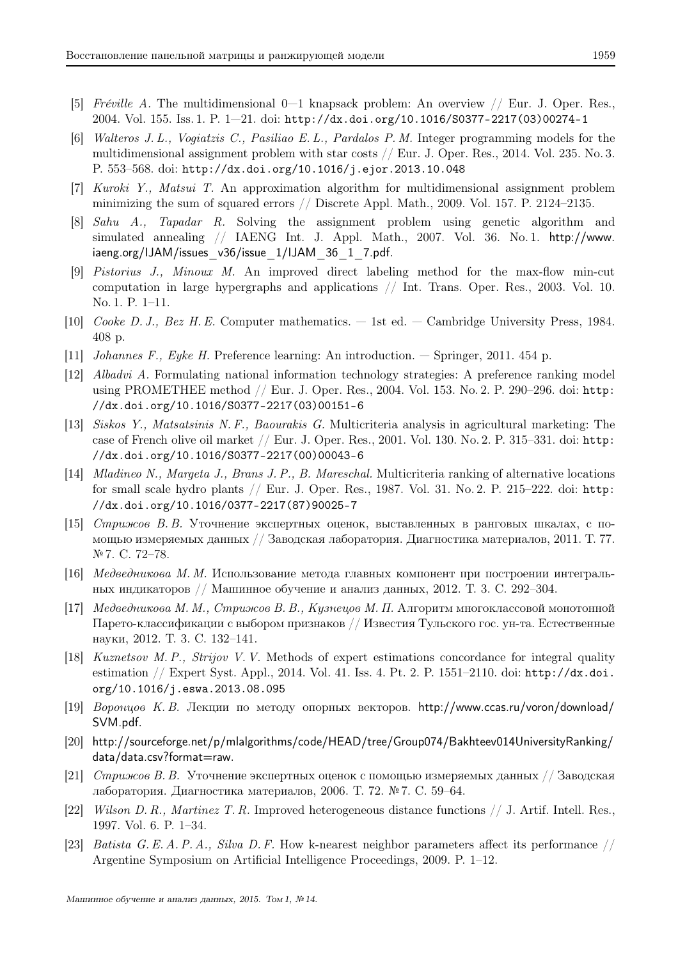- [5] Fréville A. The multidimensional  $0-1$  knapsack problem: An overview  $//$  Eur. J. Oper. Res. 2004. Vol. 155. Iss. 1. P. 1—21. doi: http://dx.doi.org/10.1016/S0377-2217(03)00274-1
- [6] Walteros J. L., Vogiatzis C., Pasiliao E. L., Pardalos P. M. Integer programming models for the multidimensional assignment problem with star costs // Eur. J. Oper. Res., 2014. Vol. 235. No. 3. P. 553–568. doi: http://dx.doi.org/10.1016/j.ejor.2013.10.048
- [7] Kuroki Y., Matsui T. An approximation algorithm for multidimensional assignment problem minimizing the sum of squared errors // Discrete Appl. Math., 2009. Vol. 157. P. 2124–2135.
- [8] Sahu A., Tapadar R. Solving the assignment problem using genetic algorithm and simulated annealing // IAENG Int. J. Appl. Math., 2007. Vol. 36. No. 1. http://www. iaeng.org/IJAM/issues\_v36/issue\_1/IJAM\_36\_1\_7.pdf.
- [9] Pistorius J., Minoux M. An improved direct labeling method for the max-flow min-cut computation in large hypergraphs and applications // Int. Trans. Oper. Res., 2003. Vol. 10. No. 1. P. 1–11.
- [10] Cooke D. J., Bez H. E. Computer mathematics. 1st ed. Cambridge University Press, 1984. 408 p.
- [11] Johannes F., Eyke H. Preference learning: An introduction. Springer, 2011. 454 p.
- [12] Albadvi A. Formulating national information technology strategies: A preference ranking model using PROMETHEE method // Eur. J. Oper. Res., 2004. Vol. 153. No. 2. P. 290–296. doi: http: //dx.doi.org/10.1016/S0377-2217(03)00151-6
- [13] Siskos Y., Matsatsinis N. F., Baourakis G. Multicriteria analysis in agricultural marketing: The case of French olive oil market // Eur. J. Oper. Res., 2001. Vol. 130. No. 2. P. 315–331. doi: http: //dx.doi.org/10.1016/S0377-2217(00)00043-6
- [14] Mladineo N., Margeta J., Brans J. P., B. Mareschal. Multicriteria ranking of alternative locations for small scale hydro plants // Eur. J. Oper. Res., 1987. Vol. 31. No. 2. P. 215–222. doi: http: //dx.doi.org/10.1016/0377-2217(87)90025-7
- [15] Стрижов В. В. Уточнение экспертных оценок, выставленных в ранговых шкалах, с помощью измеряемых данных // Заводская лаборатория. Диагностика материалов, 2011. Т. 77. № 7. С. 72–78.
- [16] Медведникова М. М. Использование метода главных компонент при построении интегральных индикаторов // Машинное обучение и анализ данных, 2012. Т. 3. С. 292–304.
- [17] Медведникова М. М., Стрижов В. В., Кузнецов М. П. Алгоритм многоклассовой монотонной Парето-классификации с выбором признаков // Известия Тульского гос. ун-та. Естественные науки, 2012. Т. 3. С. 132–141.
- [18] Kuznetsov M. P., Strijov V. V. Methods of expert estimations concordance for integral quality estimation // Expert Syst. Appl., 2014. Vol. 41. Iss. 4. Pt. 2. P. 1551–2110. doi: http://dx.doi. org/10.1016/j.eswa.2013.08.095
- [19] Воронцов К. В. Лекции по методу опорных векторов. http://www.ccas.ru/voron/download/ SVM.pdf.
- [20] http://sourceforge.net/p/mlalgorithms/code/HEAD/tree/Group074/Bakhteev014UniversityRanking/ data/data.csv?format=raw.
- [21] *Стрижов В. В.* Уточнение экспертных оценок с помощью измеряемых данных // Заводская лаборатория. Диагностика материалов, 2006. Т. 72. № 7. С. 59–64.
- [22] Wilson D. R., Martinez T. R. Improved heterogeneous distance functions  $//$  J. Artif. Intell. Res. 1997. Vol. 6. P. 1–34.
- [23] Batista G. E. A. P. A., Silva D. F. How k-nearest neighbor parameters affect its performance // Argentine Symposium on Artificial Intelligence Proceedings, 2009. P. 1–12.